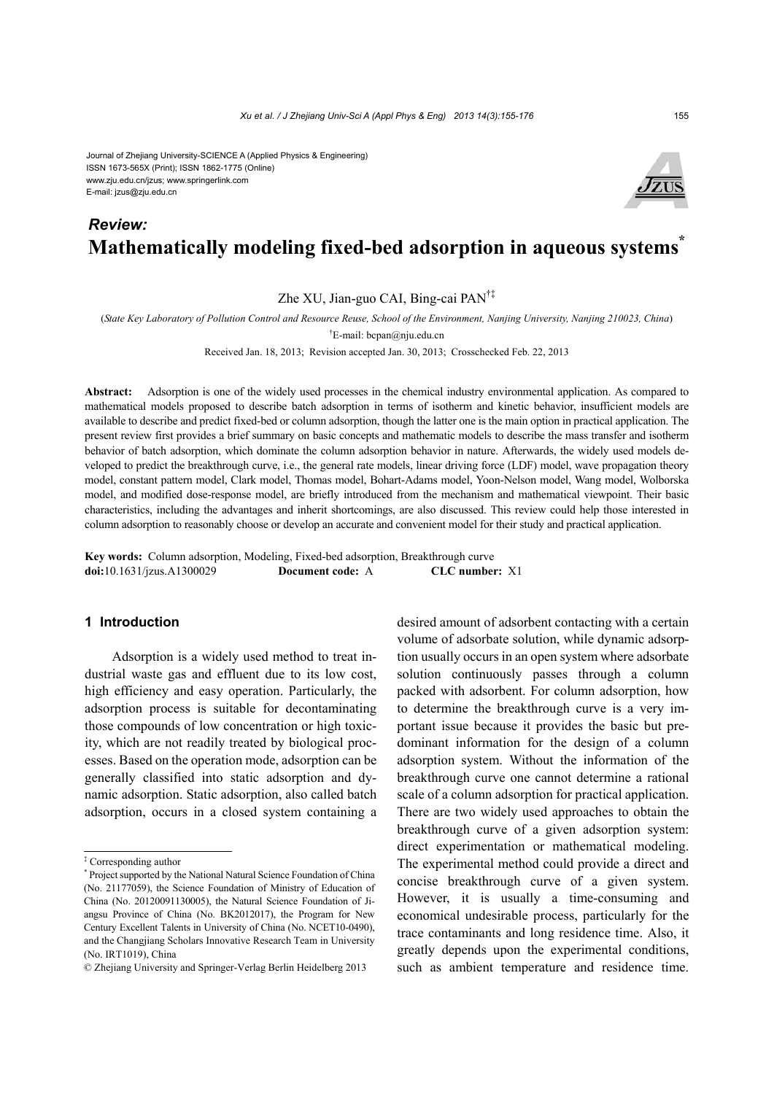Journal of Zhejiang University-SCIENCE A (Applied Physics & Engineering) ISSN 1673-565X (Print); ISSN 1862-1775 (Online) www.zju.edu.cn/jzus; www.springerlink.com E-mail: jzus@zju.edu.cn

# **Mathematically modeling fixed-bed adsorption in aqueous systems\*** *Review:*

Zhe XU, Jian-guo CAI, Bing-cai PAN†‡

(*State Key Laboratory of Pollution Control and Resource Reuse, School of the Environment, Nanjing University, Nanjing 210023, China*)

† E-mail: bcpan@nju.edu.cn

Received Jan. 18, 2013; Revision accepted Jan. 30, 2013; Crosschecked Feb. 22, 2013

**Abstract:** Adsorption is one of the widely used processes in the chemical industry environmental application. As compared to mathematical models proposed to describe batch adsorption in terms of isotherm and kinetic behavior, insufficient models are available to describe and predict fixed-bed or column adsorption, though the latter one is the main option in practical application. The present review first provides a brief summary on basic concepts and mathematic models to describe the mass transfer and isotherm behavior of batch adsorption, which dominate the column adsorption behavior in nature. Afterwards, the widely used models developed to predict the breakthrough curve, i.e., the general rate models, linear driving force (LDF) model, wave propagation theory model, constant pattern model, Clark model, Thomas model, Bohart-Adams model, Yoon-Nelson model, Wang model, Wolborska model, and modified dose-response model, are briefly introduced from the mechanism and mathematical viewpoint. Their basic characteristics, including the advantages and inherit shortcomings, are also discussed. This review could help those interested in column adsorption to reasonably choose or develop an accurate and convenient model for their study and practical application.

**Key words:** Column adsorption, Modeling, Fixed-bed adsorption, Breakthrough curve **doi:**10.1631/jzus.A1300029 **Document code:** A **CLC number:** X1

# **1 Introduction**

Adsorption is a widely used method to treat industrial waste gas and effluent due to its low cost, high efficiency and easy operation. Particularly, the adsorption process is suitable for decontaminating those compounds of low concentration or high toxicity, which are not readily treated by biological processes. Based on the operation mode, adsorption can be generally classified into static adsorption and dynamic adsorption. Static adsorption, also called batch adsorption, occurs in a closed system containing a

desired amount of adsorbent contacting with a certain volume of adsorbate solution, while dynamic adsorption usually occurs in an open system where adsorbate solution continuously passes through a column packed with adsorbent. For column adsorption, how to determine the breakthrough curve is a very important issue because it provides the basic but predominant information for the design of a column adsorption system. Without the information of the breakthrough curve one cannot determine a rational scale of a column adsorption for practical application. There are two widely used approaches to obtain the breakthrough curve of a given adsorption system: direct experimentation or mathematical modeling. The experimental method could provide a direct and concise breakthrough curve of a given system. However, it is usually a time-consuming and economical undesirable process, particularly for the trace contaminants and long residence time. Also, it greatly depends upon the experimental conditions, such as ambient temperature and residence time.



<sup>‡</sup> Corresponding author

<sup>\*</sup> Project supported by the National Natural Science Foundation of China (No. 21177059), the Science Foundation of Ministry of Education of China (No. 20120091130005), the Natural Science Foundation of Jiangsu Province of China (No. BK2012017), the Program for New Century Excellent Talents in University of China (No. NCET10-0490), and the Changjiang Scholars Innovative Research Team in University (No. IRT1019), China

<sup>©</sup> Zhejiang University and Springer-Verlag Berlin Heidelberg 2013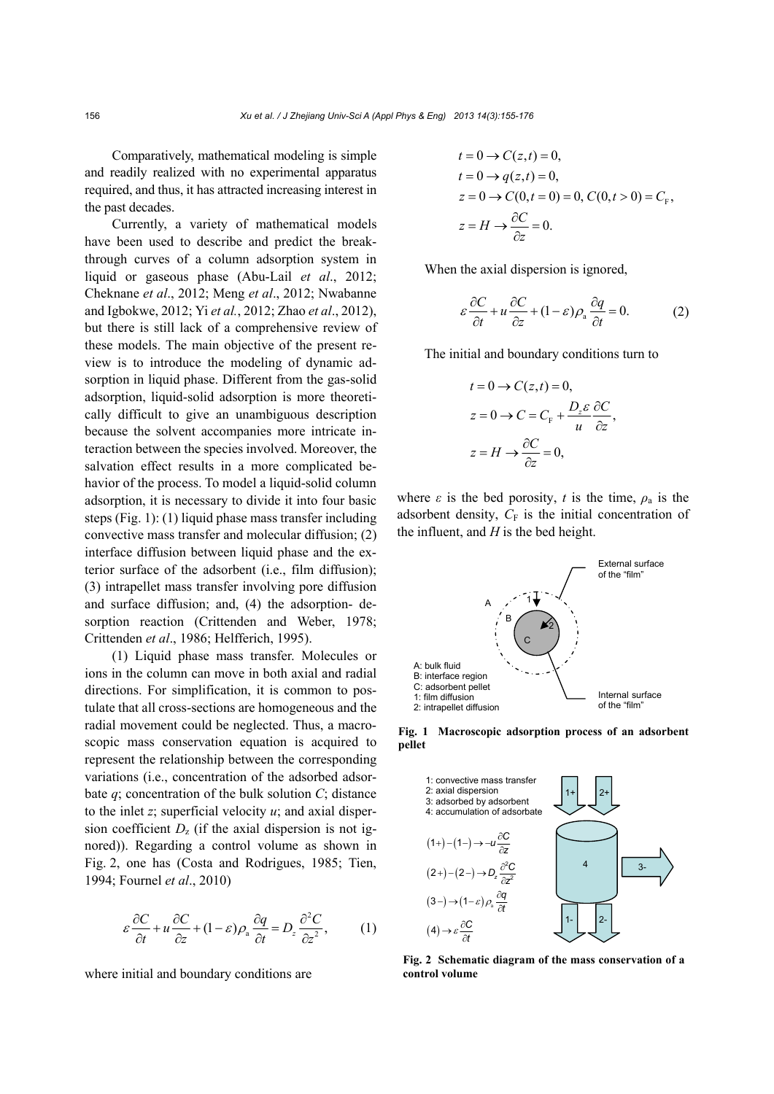Comparatively, mathematical modeling is simple and readily realized with no experimental apparatus required, and thus, it has attracted increasing interest in the past decades.

Currently, a variety of mathematical models have been used to describe and predict the breakthrough curves of a column adsorption system in liquid or gaseous phase (Abu-Lail *et al*., 2012; Cheknane *et al*., 2012; Meng *et al*., 2012; Nwabanne and Igbokwe, 2012; Yi *et al.*, 2012; Zhao *et al*., 2012), but there is still lack of a comprehensive review of these models. The main objective of the present review is to introduce the modeling of dynamic adsorption in liquid phase. Different from the gas-solid adsorption, liquid-solid adsorption is more theoretically difficult to give an unambiguous description because the solvent accompanies more intricate interaction between the species involved. Moreover, the salvation effect results in a more complicated behavior of the process. To model a liquid-solid column adsorption, it is necessary to divide it into four basic steps (Fig. 1): (1) liquid phase mass transfer including convective mass transfer and molecular diffusion; (2) interface diffusion between liquid phase and the exterior surface of the adsorbent (i.e., film diffusion); (3) intrapellet mass transfer involving pore diffusion and surface diffusion; and, (4) the adsorption- desorption reaction (Crittenden and Weber, 1978; Crittenden *et al*., 1986; Helfferich, 1995).

(1) Liquid phase mass transfer. Molecules or ions in the column can move in both axial and radial directions. For simplification, it is common to postulate that all cross-sections are homogeneous and the radial movement could be neglected. Thus, a macroscopic mass conservation equation is acquired to represent the relationship between the corresponding variations (i.e., concentration of the adsorbed adsorbate *q*; concentration of the bulk solution *C*; distance to the inlet  $z$ ; superficial velocity  $u$ ; and axial dispersion coefficient  $D<sub>z</sub>$  (if the axial dispersion is not ignored)). Regarding a control volume as shown in Fig. 2, one has (Costa and Rodrigues, 1985; Tien, 1994; Fournel *et al*., 2010)

$$
\varepsilon \frac{\partial C}{\partial t} + u \frac{\partial C}{\partial z} + (1 - \varepsilon) \rho_a \frac{\partial q}{\partial t} = D_z \frac{\partial^2 C}{\partial z^2},\tag{1}
$$

where initial and boundary conditions are

$$
t = 0 \rightarrow C(z, t) = 0,
$$
  
\n
$$
t = 0 \rightarrow q(z, t) = 0,
$$
  
\n
$$
z = 0 \rightarrow C(0, t = 0) = 0, C(0, t > 0) = C_{F},
$$
  
\n
$$
z = H \rightarrow \frac{\partial C}{\partial z} = 0.
$$

When the axial dispersion is ignored,

$$
\varepsilon \frac{\partial C}{\partial t} + u \frac{\partial C}{\partial z} + (1 - \varepsilon) \rho_a \frac{\partial q}{\partial t} = 0.
$$
 (2)

The initial and boundary conditions turn to

$$
t = 0 \rightarrow C(z, t) = 0,
$$
  
\n
$$
z = 0 \rightarrow C = C_{F} + \frac{D_{z} \varepsilon}{u} \frac{\partial C}{\partial z},
$$
  
\n
$$
z = H \rightarrow \frac{\partial C}{\partial z} = 0,
$$

where  $\varepsilon$  is the bed porosity, *t* is the time,  $\rho_a$  is the adsorbent density,  $C_F$  is the initial concentration of the influent, and *H* is the bed height.



**Fig. 1 Macroscopic adsorption process of an adsorbent pellet**



**Fig. 2 Schematic diagram of the mass conservation of a control volume**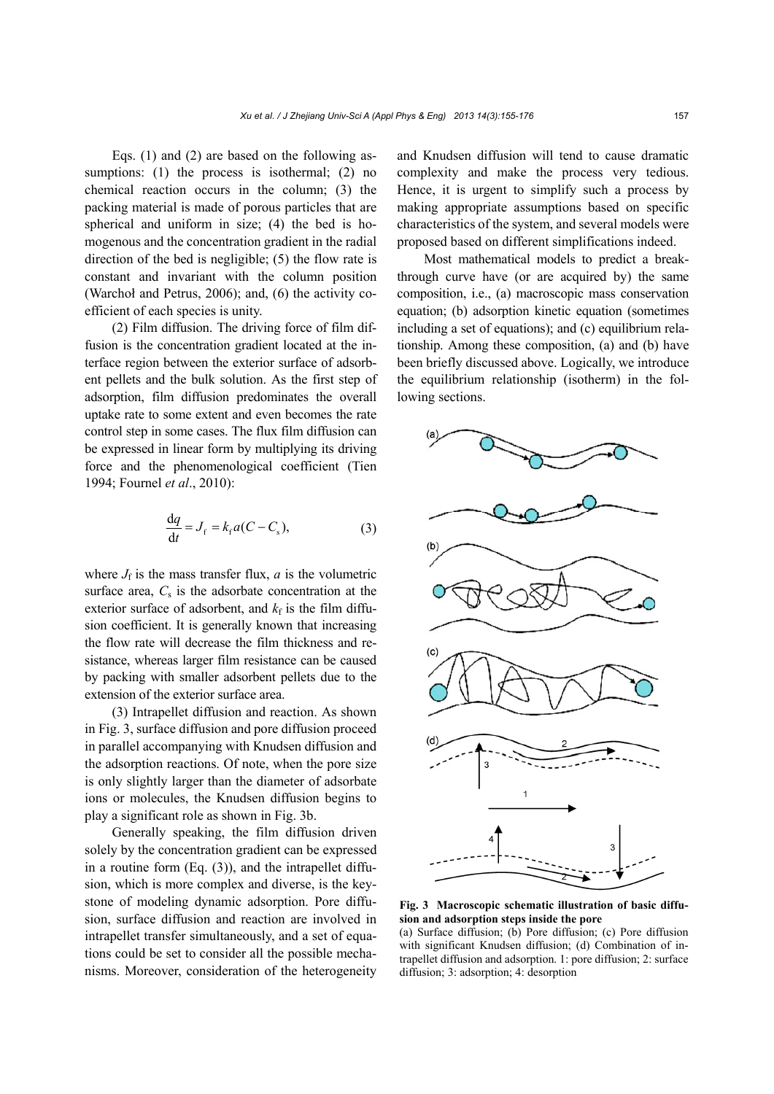Eqs. (1) and (2) are based on the following assumptions: (1) the process is isothermal; (2) no chemical reaction occurs in the column; (3) the packing material is made of porous particles that are spherical and uniform in size; (4) the bed is homogenous and the concentration gradient in the radial direction of the bed is negligible; (5) the flow rate is constant and invariant with the column position (Warchoł and Petrus, 2006); and, (6) the activity coefficient of each species is unity.

(2) Film diffusion. The driving force of film diffusion is the concentration gradient located at the interface region between the exterior surface of adsorbent pellets and the bulk solution. As the first step of adsorption, film diffusion predominates the overall uptake rate to some extent and even becomes the rate control step in some cases. The flux film diffusion can be expressed in linear form by multiplying its driving force and the phenomenological coefficient (Tien 1994; Fournel *et al*., 2010):

$$
\frac{\mathrm{d}q}{\mathrm{d}t} = J_{\mathrm{f}} = k_{\mathrm{f}} a (C - C_{\mathrm{s}}),\tag{3}
$$

where  $J_f$  is the mass transfer flux,  $a$  is the volumetric surface area,  $C_s$  is the adsorbate concentration at the exterior surface of adsorbent, and  $k_f$  is the film diffusion coefficient. It is generally known that increasing the flow rate will decrease the film thickness and resistance, whereas larger film resistance can be caused by packing with smaller adsorbent pellets due to the extension of the exterior surface area.

(3) Intrapellet diffusion and reaction. As shown in Fig. 3, surface diffusion and pore diffusion proceed in parallel accompanying with Knudsen diffusion and the adsorption reactions. Of note, when the pore size is only slightly larger than the diameter of adsorbate ions or molecules, the Knudsen diffusion begins to play a significant role as shown in Fig. 3b.

Generally speaking, the film diffusion driven solely by the concentration gradient can be expressed in a routine form  $(Eq. (3))$ , and the intrapellet diffusion, which is more complex and diverse, is the keystone of modeling dynamic adsorption. Pore diffusion, surface diffusion and reaction are involved in intrapellet transfer simultaneously, and a set of equations could be set to consider all the possible mechanisms. Moreover, consideration of the heterogeneity

and Knudsen diffusion will tend to cause dramatic complexity and make the process very tedious. Hence, it is urgent to simplify such a process by making appropriate assumptions based on specific characteristics of the system, and several models were proposed based on different simplifications indeed.

Most mathematical models to predict a breakthrough curve have (or are acquired by) the same composition, i.e., (a) macroscopic mass conservation equation; (b) adsorption kinetic equation (sometimes including a set of equations); and (c) equilibrium relationship. Among these composition, (a) and (b) have been briefly discussed above. Logically, we introduce the equilibrium relationship (isotherm) in the following sections.



**Fig. 3 Macroscopic schematic illustration of basic diffusion and adsorption steps inside the pore** 

(a) Surface diffusion; (b) Pore diffusion; (c) Pore diffusion with significant Knudsen diffusion; (d) Combination of intrapellet diffusion and adsorption. 1: pore diffusion; 2: surface diffusion; 3: adsorption; 4: desorption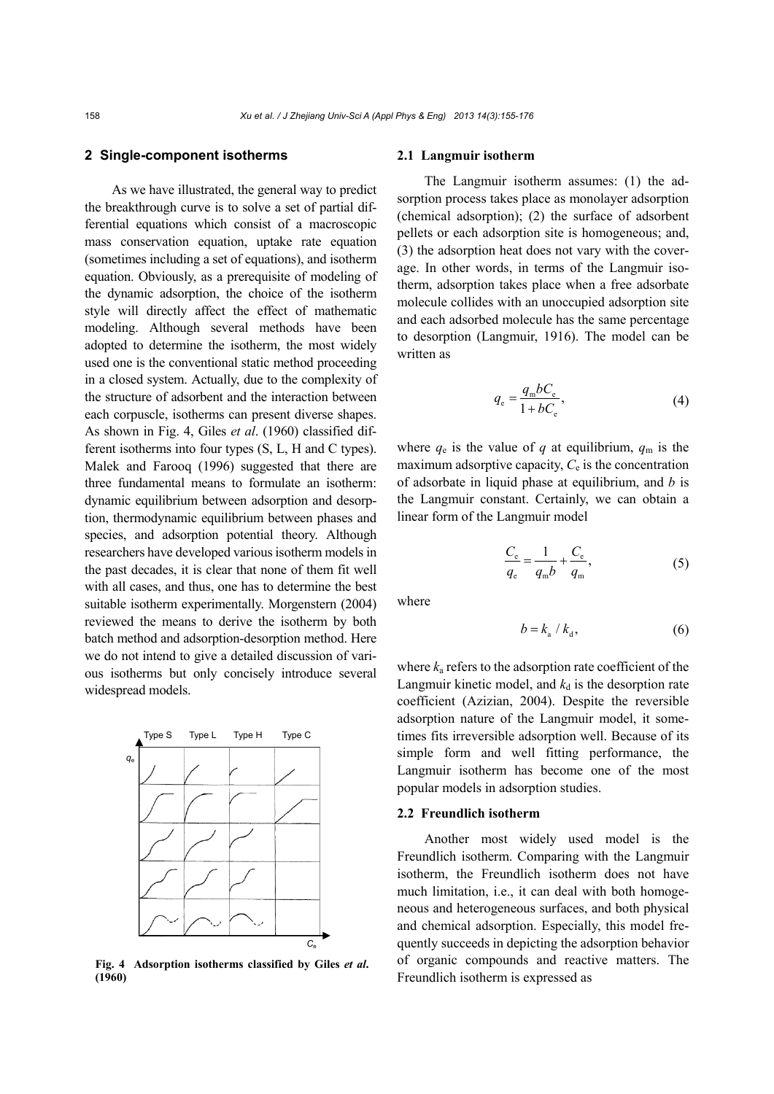# **2 Single-component isotherms**

As we have illustrated, the general way to predict the breakthrough curve is to solve a set of partial differential equations which consist of a macroscopic mass conservation equation, uptake rate equation (sometimes including a set of equations), and isotherm equation. Obviously, as a prerequisite of modeling of the dynamic adsorption, the choice of the isotherm style will directly affect the effect of mathematic modeling. Although several methods have been adopted to determine the isotherm, the most widely used one is the conventional static method proceeding in a closed system. Actually, due to the complexity of the structure of adsorbent and the interaction between each corpuscle, isotherms can present diverse shapes. As shown in Fig. 4, Giles *et al*. (1960) classified different isotherms into four types (S, L, H and C types). Malek and Farooq (1996) suggested that there are three fundamental means to formulate an isotherm: dynamic equilibrium between adsorption and desorption, thermodynamic equilibrium between phases and species, and adsorption potential theory. Although researchers have developed various isotherm models in the past decades, it is clear that none of them fit well with all cases, and thus, one has to determine the best suitable isotherm experimentally. Morgenstern (2004) reviewed the means to derive the isotherm by both batch method and adsorption-desorption method. Here we do not intend to give a detailed discussion of various isotherms but only concisely introduce several widespread models.



**Fig. 4 Adsorption isotherms classified by Giles** *et al***. (1960)**

#### **2.1 Langmuir isotherm**

The Langmuir isotherm assumes: (1) the adsorption process takes place as monolayer adsorption (chemical adsorption); (2) the surface of adsorbent pellets or each adsorption site is homogeneous; and, (3) the adsorption heat does not vary with the coverage. In other words, in terms of the Langmuir isotherm, adsorption takes place when a free adsorbate molecule collides with an unoccupied adsorption site and each adsorbed molecule has the same percentage to desorption (Langmuir, 1916). The model can be written as

$$
q_{\rm e} = \frac{q_{\rm m}bC_{\rm e}}{1 + bC_{\rm e}},\tag{4}
$$

where  $q_e$  is the value of  $q$  at equilibrium,  $q_m$  is the maximum adsorptive capacity,  $C_e$  is the concentration of adsorbate in liquid phase at equilibrium, and *b* is the Langmuir constant. Certainly, we can obtain a linear form of the Langmuir model

$$
\frac{C_{\rm e}}{q_{\rm e}} = \frac{1}{q_{\rm m}b} + \frac{C_{\rm e}}{q_{\rm m}},\tag{5}
$$

where

$$
b = k_{\rm a} / k_{\rm d},\tag{6}
$$

where  $k_a$  refers to the adsorption rate coefficient of the Langmuir kinetic model, and  $k_d$  is the desorption rate coefficient (Azizian, 2004). Despite the reversible adsorption nature of the Langmuir model, it sometimes fits irreversible adsorption well. Because of its simple form and well fitting performance, the Langmuir isotherm has become one of the most popular models in adsorption studies.

# **2.2 Freundlich isotherm**

Another most widely used model is the Freundlich isotherm. Comparing with the Langmuir isotherm, the Freundlich isotherm does not have much limitation, i.e., it can deal with both homogeneous and heterogeneous surfaces, and both physical and chemical adsorption. Especially, this model frequently succeeds in depicting the adsorption behavior of organic compounds and reactive matters. The Freundlich isotherm is expressed as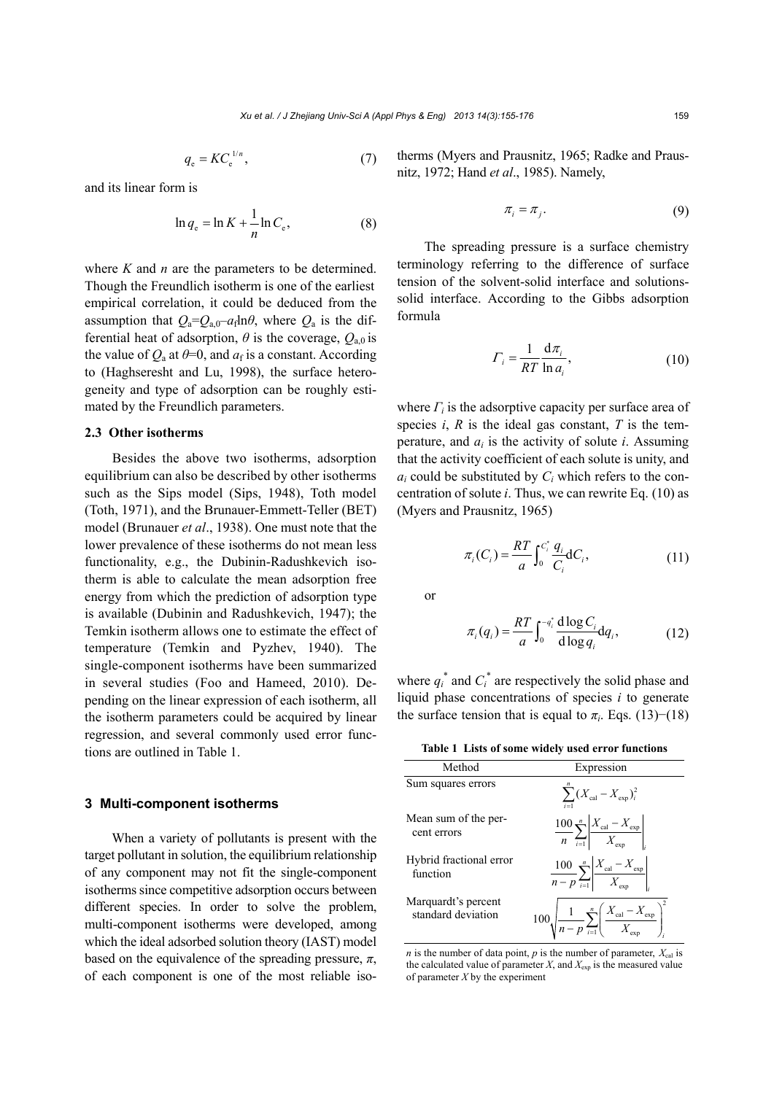$$
q_{\rm e} = K C_{\rm e}^{\frac{1}{n}},\tag{7}
$$

and its linear form is

$$
\ln q_e = \ln K + \frac{1}{n} \ln C_e, \tag{8}
$$

where *K* and *n* are the parameters to be determined. Though the Freundlich isotherm is one of the earliest empirical correlation, it could be deduced from the assumption that  $Q_a = Q_{a,0} - a_f \ln \theta$ , where  $Q_a$  is the differential heat of adsorption,  $\theta$  is the coverage,  $Q_{a}$  is the value of  $Q_a$  at  $\theta = 0$ , and  $a_f$  is a constant. According to (Haghseresht and Lu, 1998), the surface heterogeneity and type of adsorption can be roughly estimated by the Freundlich parameters.

# **2.3 Other isotherms**

Besides the above two isotherms, adsorption equilibrium can also be described by other isotherms such as the Sips model (Sips, 1948), Toth model (Toth, 1971), and the Brunauer-Emmett-Teller (BET) model (Brunauer *et al*., 1938). One must note that the lower prevalence of these isotherms do not mean less functionality, e.g., the Dubinin-Radushkevich isotherm is able to calculate the mean adsorption free energy from which the prediction of adsorption type is available (Dubinin and Radushkevich, 1947); the Temkin isotherm allows one to estimate the effect of temperature (Temkin and Pyzhev, 1940). The single-component isotherms have been summarized in several studies (Foo and Hameed, 2010). Depending on the linear expression of each isotherm, all the isotherm parameters could be acquired by linear regression, and several commonly used error functions are outlined in Table 1.

# **3 Multi-component isotherms**

When a variety of pollutants is present with the target pollutant in solution, the equilibrium relationship of any component may not fit the single-component isotherms since competitive adsorption occurs between different species. In order to solve the problem, multi-component isotherms were developed, among which the ideal adsorbed solution theory (IAST) model based on the equivalence of the spreading pressure,  $\pi$ , of each component is one of the most reliable isotherms (Myers and Prausnitz, 1965; Radke and Prausnitz, 1972; Hand *et al*., 1985). Namely,

$$
\pi_i = \pi_j. \tag{9}
$$

The spreading pressure is a surface chemistry terminology referring to the difference of surface tension of the solvent-solid interface and solutionssolid interface. According to the Gibbs adsorption formula

$$
\Gamma_i = \frac{1}{RT} \frac{d\pi_i}{\ln a_i},\tag{10}
$$

where *Γi* is the adsorptive capacity per surface area of species  $i$ ,  $R$  is the ideal gas constant,  $T$  is the temperature, and  $a_i$  is the activity of solute  $i$ . Assuming that the activity coefficient of each solute is unity, and *ai* could be substituted by *Ci* which refers to the concentration of solute *i*. Thus, we can rewrite Eq. (10) as (Myers and Prausnitz, 1965)

$$
\pi_i(C_i) = \frac{RT}{a} \int_0^{C_i^*} \frac{q_i}{C_i} dC_i, \tag{11}
$$

or

$$
\pi_i(q_i) = \frac{RT}{a} \int_0^{-q_i^*} \frac{d \log C_i}{d \log q_i} dq_i, \qquad (12)
$$

where  $q_i^*$  and  $C_i^*$  are respectively the solid phase and liquid phase concentrations of species *i* to generate the surface tension that is equal to  $\pi_i$ . Eqs. (13)–(18)

**Table 1 Lists of some widely used error functions** 

| Method                                    | Expression                                                                                                   |
|-------------------------------------------|--------------------------------------------------------------------------------------------------------------|
| Sum squares errors                        | $\sum (X_{\text{cal}} - X_{\text{exp}})^2_i$<br>$i=1$                                                        |
| Mean sum of the per-<br>cent errors       | $\frac{100}{n} \sum_{i=1}^{n} \left  \frac{X_{\text{cal}} - X_{\text{exp}}}{X_{\text{exp}}}\right $          |
| Hybrid fractional error<br>function       | $\frac{100}{n-p} \sum_{i=1}^{n} \left  \frac{X_{\text{cal}} - X_{\text{exp}}}{X_{\text{exp}}} \right $       |
| Marquardt's percent<br>standard deviation | $100\sqrt{\frac{1}{n-p}\sum_{i=1}^{n}\left(\frac{X_{\text{cal}}-X_{\text{exp}}}{X_{\text{exp}}}\right)^{2}}$ |

*n* is the number of data point,  $p$  is the number of parameter,  $X_{cal}$  is the calculated value of parameter  $X$ , and  $X_{\text{exp}}$  is the measured value of parameter *X* by the experiment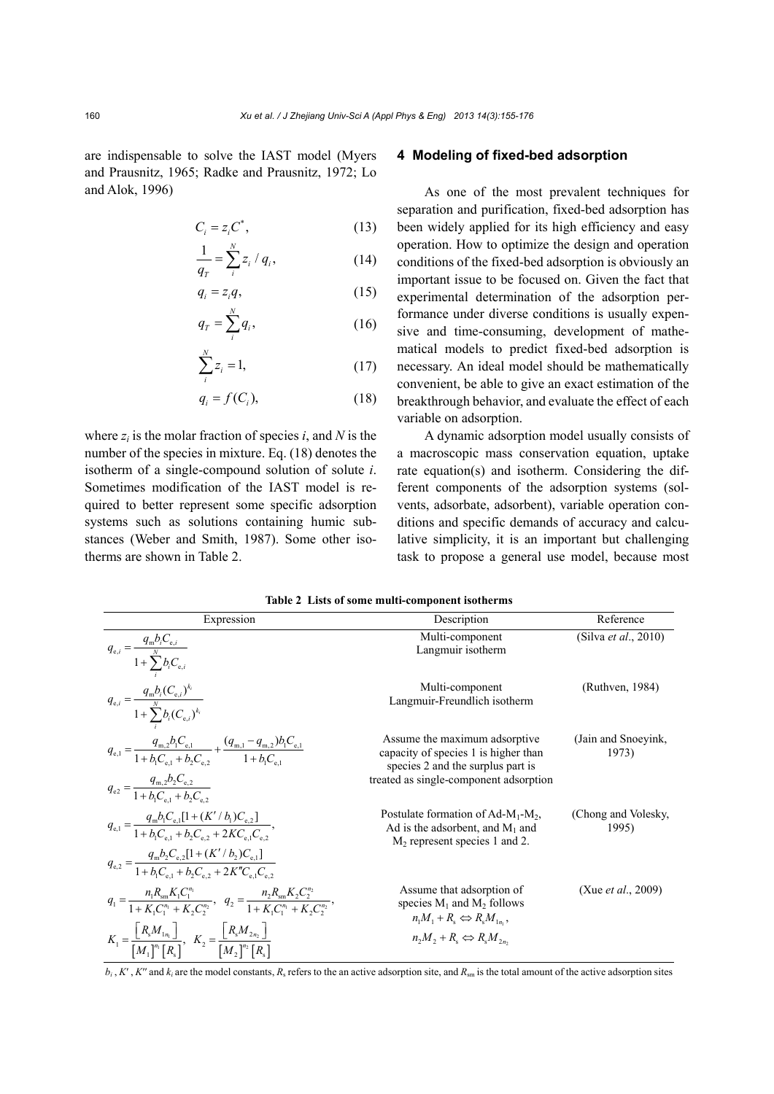are indispensable to solve the IAST model (Myers and Prausnitz, 1965; Radke and Prausnitz, 1972; Lo and Alok, 1996)

$$
C_i = z_i C^*,\tag{13}
$$

$$
\frac{1}{q_T} = \sum_{i}^{N} z_i / q_i, \tag{14}
$$

$$
q_i = z_i q,\tag{15}
$$

$$
q_T = \sum_{i=1}^{N} q_i, \qquad (16)
$$

$$
\sum_{i}^{N} z_i = 1,\tag{17}
$$

$$
q_i = f(C_i), \tag{18}
$$

where  $z_i$  is the molar fraction of species *i*, and *N* is the number of the species in mixture. Eq. (18) denotes the isotherm of a single-compound solution of solute *i*. Sometimes modification of the IAST model is required to better represent some specific adsorption systems such as solutions containing humic substances (Weber and Smith, 1987). Some other isotherms are shown in Table 2.

# **4 Modeling of fixed-bed adsorption**

As one of the most prevalent techniques for separation and purification, fixed-bed adsorption has been widely applied for its high efficiency and easy operation. How to optimize the design and operation conditions of the fixed-bed adsorption is obviously an important issue to be focused on. Given the fact that experimental determination of the adsorption performance under diverse conditions is usually expensive and time-consuming, development of mathematical models to predict fixed-bed adsorption is necessary. An ideal model should be mathematically convenient, be able to give an exact estimation of the breakthrough behavior, and evaluate the effect of each variable on adsorption.

A dynamic adsorption model usually consists of a macroscopic mass conservation equation, uptake rate equation(s) and isotherm. Considering the different components of the adsorption systems (solvents, adsorbate, adsorbent), variable operation conditions and specific demands of accuracy and calculative simplicity, it is an important but challenging task to propose a general use model, because most

| Expression                                                                                                                                                          | Description                                                                                                                                          | Reference                    |
|---------------------------------------------------------------------------------------------------------------------------------------------------------------------|------------------------------------------------------------------------------------------------------------------------------------------------------|------------------------------|
| $q_{e,i} = \frac{q_{\rm m}b_{i}C_{e,i}}{1 + \sum_{i}^{N}b_{i}C_{e,i}}$                                                                                              | Multi-component<br>Langmuir isotherm                                                                                                                 | (Silva <i>et al.</i> , 2010) |
| $q_{e,i} = \frac{q_{\rm m}b_i(C_{{\rm e},i})^{k_i}}{1 + \sum_{i}^{N}b_i(C_{{\rm e},i})^{k_i}}$                                                                      | Multi-component<br>Langmuir-Freundlich isotherm                                                                                                      | (Ruthven, 1984)              |
| $q_{e,1} = \frac{q_{m,2}b_1C_{e,1}}{1 + h.C. + h.C.} + \frac{(q_{m,1} - q_{m,2})b_1C_{e,1}}{1 + h.C.}$                                                              | Assume the maximum adsorptive<br>capacity of species 1 is higher than<br>species 2 and the surplus part is<br>treated as single-component adsorption | (Jain and Snoeyink,<br>1973) |
| $q_{e2} = \frac{q_{m,2}b_2C_{e,2}}{1 + b.C. + b.C.}$                                                                                                                |                                                                                                                                                      |                              |
| $q_{e,1} = \frac{q_{m}b_{1}C_{e,1}[1 + (K'/b_{1})C_{e,2}]}{1 + b_{1}C_{e,1} + b_{2}C_{e,2} + 2KC_{e,1}C_{e,2}},$                                                    | Postulate formation of $Ad-M_1-M_2$ ,<br>Ad is the adsorbent, and $M_1$ and<br>$M2$ represent species 1 and 2.                                       | (Chong and Volesky,<br>1995) |
| $q_{e,2} = \frac{q_{\rm m}b_2C_{e,2}[1 + (K'/b_2)C_{e,1}]}{1 + b.C_{e,1} + b.C_{e,2} + 2K''C_{e,1}C_{e,2}}$                                                         |                                                                                                                                                      |                              |
| $q_1 = \frac{n_1 R_{\rm sm} K_1 C_1^{n_1}}{1 + K_1 C_1^{n_1} + K_2 C_2^{n_2}}, \quad q_2 = \frac{n_2 R_{\rm sm} K_2 C_2^{n_2}}{1 + K_1 C_1^{n_1} + K_2 C_2^{n_2}},$ | Assume that adsorption of<br>species $M_1$ and $M_2$ follows<br>$n_1M_1+R_s \Leftrightarrow R_sM_{1n}$ ,                                             | (Xue <i>et al.</i> , 2009)   |
| $K_1 = \frac{R_s M_{1n_1}}{[M_1]^{n_1}[R_s]}, \ \ K_2 = \frac{R_s M_{2n_2}}{[M_2]^{n_2}[R_s]}$                                                                      | $n_2M_2 + R_s \Leftrightarrow R_sM_{2n_2}$                                                                                                           |                              |

**Table 2 Lists of some multi-component isotherms**

 $b_i$ , *K'*, *K''* and  $k_i$  are the model constants,  $R_s$  refers to the an active adsorption site, and  $R_{sm}$  is the total amount of the active adsorption sites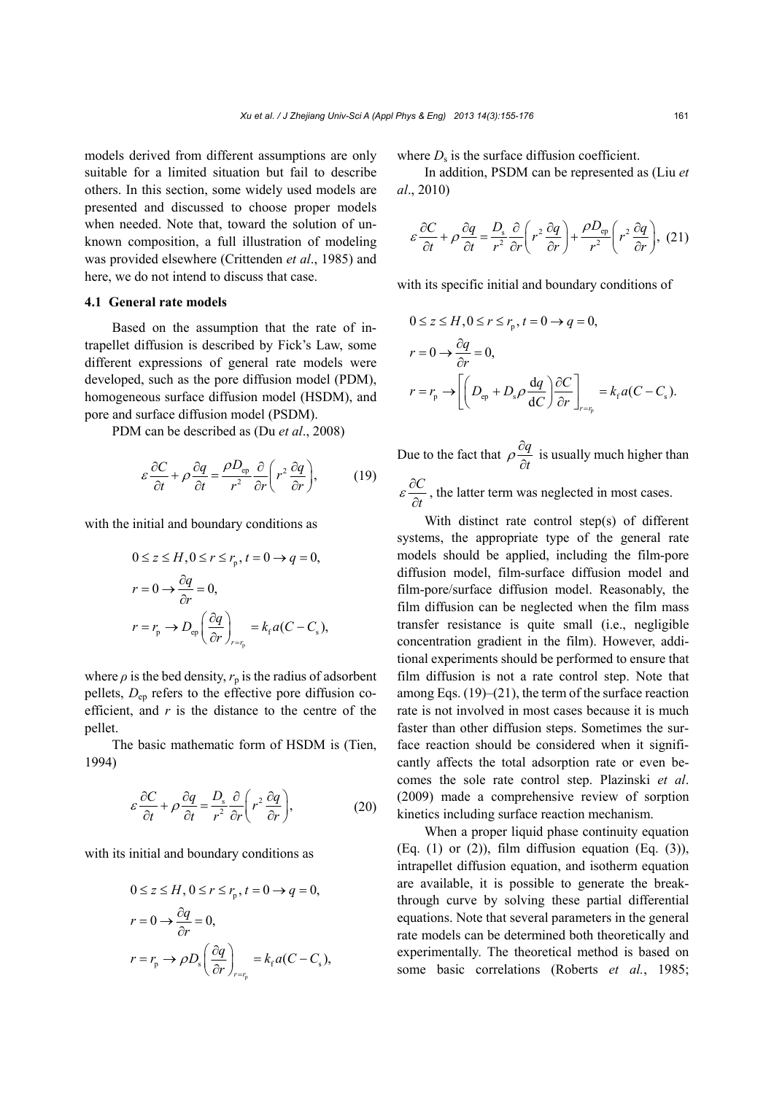models derived from different assumptions are only suitable for a limited situation but fail to describe others. In this section, some widely used models are presented and discussed to choose proper models when needed. Note that, toward the solution of unknown composition, a full illustration of modeling was provided elsewhere (Crittenden *et al*., 1985) and here, we do not intend to discuss that case.

#### **4.1 General rate models**

Based on the assumption that the rate of intrapellet diffusion is described by Fick's Law, some different expressions of general rate models were developed, such as the pore diffusion model (PDM), homogeneous surface diffusion model (HSDM), and pore and surface diffusion model (PSDM).

PDM can be described as (Du *et al*., 2008)

$$
\varepsilon \frac{\partial C}{\partial t} + \rho \frac{\partial q}{\partial t} = \frac{\rho D_{\text{ep}}}{r^2} \frac{\partial}{\partial r} \left( r^2 \frac{\partial q}{\partial r} \right),\tag{19}
$$

with the initial and boundary conditions as

$$
0 \le z \le H, 0 \le r \le r_p, t = 0 \to q = 0,
$$
  
\n
$$
r = 0 \to \frac{\partial q}{\partial r} = 0,
$$
  
\n
$$
r = r_p \to D_{ep} \left(\frac{\partial q}{\partial r}\right)_{r=r_p} = k_r a (C - C_s),
$$

where  $\rho$  is the bed density,  $r_p$  is the radius of adsorbent pellets,  $D_{\text{ep}}$  refers to the effective pore diffusion coefficient, and *r* is the distance to the centre of the pellet.

The basic mathematic form of HSDM is (Tien, 1994)

$$
\varepsilon \frac{\partial C}{\partial t} + \rho \frac{\partial q}{\partial t} = \frac{D_s}{r^2} \frac{\partial}{\partial r} \left( r^2 \frac{\partial q}{\partial r} \right),\tag{20}
$$

with its initial and boundary conditions as

$$
0 \le z \le H, 0 \le r \le r_p, t = 0 \to q = 0,
$$
  
\n
$$
r = 0 \to \frac{\partial q}{\partial r} = 0,
$$
  
\n
$$
r = r_p \to \rho D_s \left(\frac{\partial q}{\partial r}\right)_{r=r_p} = k_r a (C - C_s),
$$

where  $D_s$  is the surface diffusion coefficient.

In addition, PSDM can be represented as (Liu *et al*., 2010)

$$
\varepsilon \frac{\partial C}{\partial t} + \rho \frac{\partial q}{\partial t} = \frac{D_s}{r^2} \frac{\partial}{\partial r} \left( r^2 \frac{\partial q}{\partial r} \right) + \frac{\rho D_{\text{ep}}}{r^2} \left( r^2 \frac{\partial q}{\partial r} \right), (21)
$$

with its specific initial and boundary conditions of

$$
0 \le z \le H, 0 \le r \le r_p, t = 0 \to q = 0,
$$
  
\n
$$
r = 0 \to \frac{\partial q}{\partial r} = 0,
$$
  
\n
$$
r = r_p \to \left[ \left( D_{ep} + D_s \rho \frac{dq}{dC} \right) \frac{\partial C}{\partial r} \right]_{r=r_p} = k_f a (C - C_s).
$$

Due to the fact that  $\rho \frac{\partial q}{\partial x}$  $\rho \frac{\partial q}{\partial t}$  is usually much higher than *C*  $\varepsilon \frac{\partial C}{\partial t}$ , the latter term was neglected in most cases.

With distinct rate control step(s) of different systems, the appropriate type of the general rate models should be applied, including the film-pore diffusion model, film-surface diffusion model and film-pore/surface diffusion model. Reasonably, the film diffusion can be neglected when the film mass transfer resistance is quite small (i.e., negligible concentration gradient in the film). However, additional experiments should be performed to ensure that film diffusion is not a rate control step. Note that among Eqs.  $(19)$ – $(21)$ , the term of the surface reaction rate is not involved in most cases because it is much faster than other diffusion steps. Sometimes the surface reaction should be considered when it significantly affects the total adsorption rate or even becomes the sole rate control step. Plazinski *et al*. (2009) made a comprehensive review of sorption kinetics including surface reaction mechanism.

When a proper liquid phase continuity equation (Eq.  $(1)$  or  $(2)$ ), film diffusion equation (Eq.  $(3)$ ), intrapellet diffusion equation, and isotherm equation are available, it is possible to generate the breakthrough curve by solving these partial differential equations. Note that several parameters in the general rate models can be determined both theoretically and experimentally. The theoretical method is based on some basic correlations (Roberts *et al.*, 1985;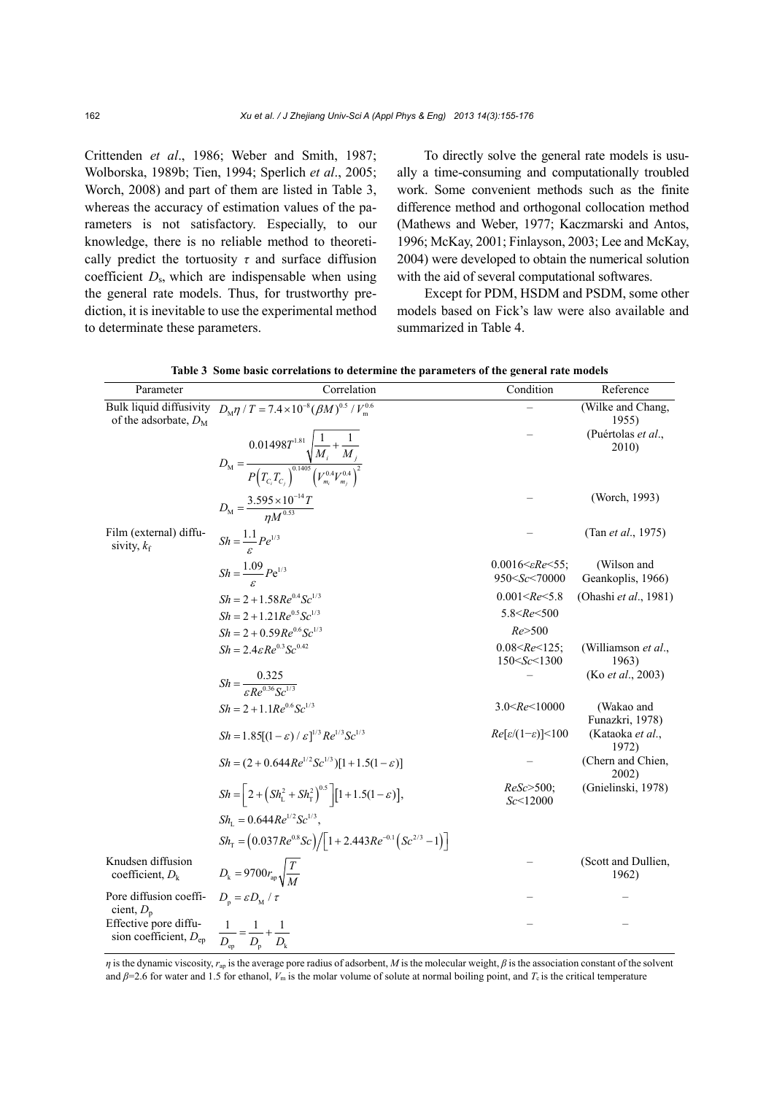Crittenden *et al*., 1986; Weber and Smith, 1987; Wolborska, 1989b; Tien, 1994; Sperlich *et al*., 2005; Worch, 2008) and part of them are listed in Table 3, whereas the accuracy of estimation values of the parameters is not satisfactory. Especially, to our knowledge, there is no reliable method to theoretically predict the tortuosity  $\tau$  and surface diffusion coefficient *D*s, which are indispensable when using the general rate models. Thus, for trustworthy prediction, it is inevitable to use the experimental method to determinate these parameters.

To directly solve the general rate models is usually a time-consuming and computationally troubled work. Some convenient methods such as the finite difference method and orthogonal collocation method (Mathews and Weber, 1977; Kaczmarski and Antos, 1996; McKay, 2001; Finlayson, 2003; Lee and McKay, 2004) were developed to obtain the numerical solution with the aid of several computational softwares.

Except for PDM, HSDM and PSDM, some other models based on Fick's law were also available and summarized in Table 4.

| Parameter                                           | Correlation                                                                                                                                                   | Condition                                                                                                  | Reference                        |
|-----------------------------------------------------|---------------------------------------------------------------------------------------------------------------------------------------------------------------|------------------------------------------------------------------------------------------------------------|----------------------------------|
| of the adsorbate, $D_M$                             | Bulk liquid diffusivity $D_M \eta / T = 7.4 \times 10^{-8} (\beta M)^{0.5} / V_m^{0.6}$                                                                       |                                                                                                            | (Wilke and Chang,<br>1955)       |
|                                                     | $D_{\rm M} = \frac{0.01498 T^{1.81} \sqrt{\frac{1}{M_i} + \frac{1}{M_j}}}{P\left(T_{C_i} T_{C_i}\right)^{0.1405} \left(V_{m_i}^{0.4} V_{m_j}^{0.4}\right)^2}$ |                                                                                                            | (Puértolas et al.,<br>2010)      |
|                                                     |                                                                                                                                                               |                                                                                                            |                                  |
|                                                     | $D_{\rm M} = \frac{3.595 \times 10^{-14} T}{n M^{0.53}}$                                                                                                      |                                                                                                            | (Worch, 1993)                    |
| Film (external) diffu-<br>sivity, $k_f$             | $Sh = \frac{1.1}{c} Pe^{1/3}$                                                                                                                                 |                                                                                                            | (Tan <i>et al.</i> , 1975)       |
|                                                     | $Sh = \frac{1.09}{\epsilon} Pe^{1/3}$                                                                                                                         | 0.0016 $\leq$ Re $\leq$ 55;<br>950 <sc<70000< td=""><td>(Wilson and<br/>Geankoplis, 1966)</td></sc<70000<> | (Wilson and<br>Geankoplis, 1966) |
|                                                     | $Sh = 2 + 1.58Re0.4Sc1/3$                                                                                                                                     | 0.001 < Re < 5.8                                                                                           | (Ohashi et al., 1981)            |
|                                                     | $Sh = 2 + 1.21Re^{0.5}Sc^{1/3}$                                                                                                                               | 5.8 < Re < 500                                                                                             |                                  |
|                                                     | $Sh = 2 + 0.59Re^{0.6}Sc^{1/3}$                                                                                                                               | Re > 500                                                                                                   |                                  |
|                                                     | $Sh = 2.4 \varepsilon Re^{0.3} Sc^{0.42}$                                                                                                                     | $0.08 < Re \le 125$ ;<br>150 < Sc < 1300                                                                   | (Williamson et al.,<br>1963)     |
|                                                     | $Sh = \frac{0.325}{c R e^{0.36} S e^{1/3}}$                                                                                                                   |                                                                                                            | (Ko <i>et al.</i> , 2003)        |
|                                                     | $Sh = 2 + 1.1Re^{0.6}Sc^{1/3}$                                                                                                                                | $3.0 < Re \le 10000$                                                                                       | (Wakao and<br>Funazkri, 1978)    |
|                                                     | $Sh = 1.85[(1-\varepsilon)/\varepsilon]^{1/3}Re^{1/3}Sc^{1/3}$                                                                                                | $Re[\varepsilon/(1-\varepsilon)]<100$                                                                      | (Kataoka et al.,<br>1972)        |
|                                                     | $Sh = (2 + 0.644Re^{1/2}Sc^{1/3})[1 + 1.5(1 - \varepsilon)]$                                                                                                  |                                                                                                            | (Chern and Chien,<br>2002)       |
|                                                     | $Sh = \left(2 + \left(Sh_{L}^{2} + Sh_{T}^{2}\right)^{0.5} \right) \left[1 + 1.5(1 - \varepsilon)\right],$                                                    | $ReSc > 500$ ;<br>Sc < 12000                                                                               | (Gnielinski, 1978)               |
|                                                     | $Sh_{\tau} = 0.644Re^{1/2}Sc^{1/3}$ .                                                                                                                         |                                                                                                            |                                  |
|                                                     | $Sh_{\rm T} = (0.037Re^{0.8}Sc)/[1+2.443Re^{-0.1}(Sc^{2/3}-1)]$                                                                                               |                                                                                                            |                                  |
| Knudsen diffusion<br>coefficient, $D_k$             | $D_{\rm k} = 9700 r_{\rm ap} \sqrt{\frac{T}{M}}$                                                                                                              |                                                                                                            | (Scott and Dullien,<br>1962)     |
| Pore diffusion coeffi-<br>cient, $D_p$              | $D_{\rm n} = \varepsilon D_{\rm M} / \tau$                                                                                                                    |                                                                                                            |                                  |
| Effective pore diffu-<br>sion coefficient, $D_{ep}$ | $rac{1}{D_{\rm en}} = \frac{1}{D_{\rm n}} + \frac{1}{D_{\rm k}}$                                                                                              |                                                                                                            |                                  |

**Table 3 Some basic correlations to determine the parameters of the general rate models** 

*η* is the dynamic viscosity,  $r_{av}$  is the average pore radius of adsorbent, *M* is the molecular weight, *β* is the association constant of the solvent and  $\beta$ =2.6 for water and 1.5 for ethanol,  $V_m$  is the molar volume of solute at normal boiling point, and  $T_c$  is the critical temperature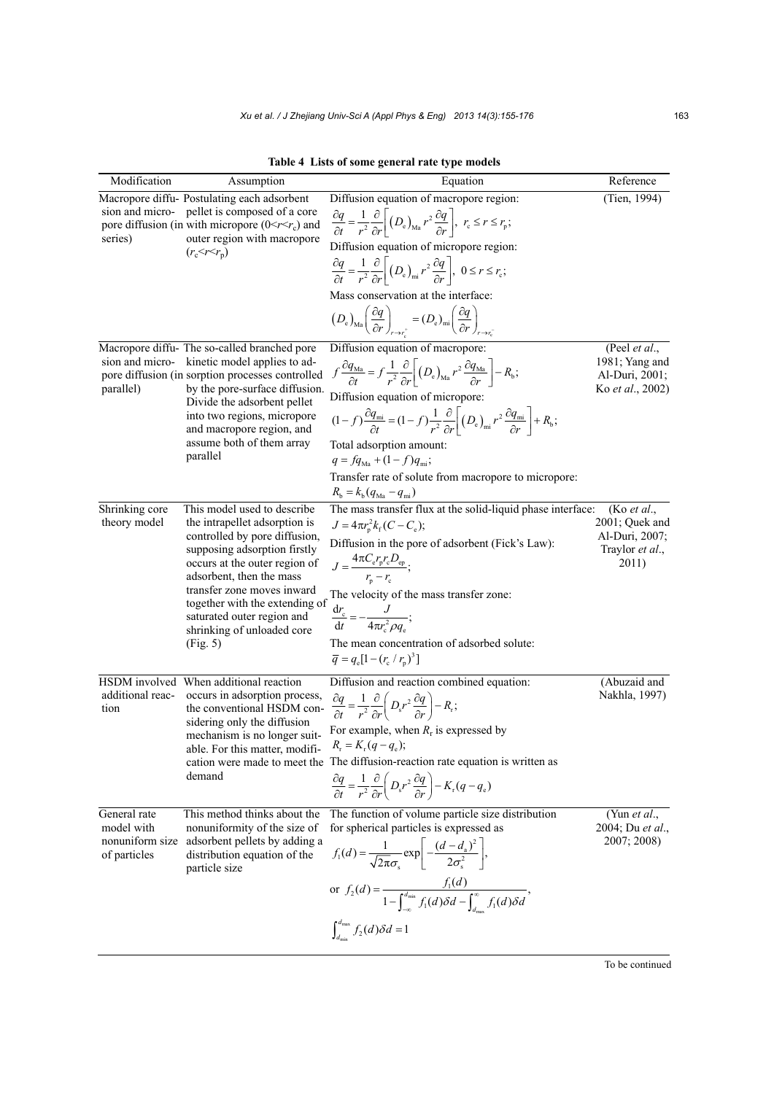**Table 4 Lists of some general rate type models** 

| Modification                                                  | Assumption                                                                                                                                                                                                                                                                                                                         | Equation                                                                                                                                                                                                                                                                                                                                                                                                                                                                                                                                                                                                                                                             | Reference                                                                   |
|---------------------------------------------------------------|------------------------------------------------------------------------------------------------------------------------------------------------------------------------------------------------------------------------------------------------------------------------------------------------------------------------------------|----------------------------------------------------------------------------------------------------------------------------------------------------------------------------------------------------------------------------------------------------------------------------------------------------------------------------------------------------------------------------------------------------------------------------------------------------------------------------------------------------------------------------------------------------------------------------------------------------------------------------------------------------------------------|-----------------------------------------------------------------------------|
| series)                                                       | Macropore diffu-Postulating each adsorbent<br>sion and micro- pellet is composed of a core<br>pore diffusion (in with micropore $(0 \le r \le r_c)$ ) and<br>outer region with macropore<br>$(r_c < r < r_n)$                                                                                                                      | Diffusion equation of macropore region:<br>$\frac{\partial q}{\partial t} = \frac{1}{r^2} \frac{\partial}{\partial r} \left[ \left( D_e \right)_{\text{Ma}} r^2 \frac{\partial q}{\partial r} \right], r_c \leq r \leq r_{\text{p}};$<br>Diffusion equation of micropore region:<br>$\frac{\partial q}{\partial t} = \frac{1}{r^2} \frac{\partial}{\partial r} \left[ \left( D_e \right)_{\text{mi}} r^2 \frac{\partial q}{\partial r} \right], \ 0 \leq r \leq r_c;$                                                                                                                                                                                                | (Tien, 1994)                                                                |
|                                                               |                                                                                                                                                                                                                                                                                                                                    | Mass conservation at the interface:<br>$\left(D_{\rm e}\right)_{\rm Ma} \left(\frac{\partial q}{\partial r}\right)_{r \to r_{\rm e}^+} = \left(D_{\rm e}\right)_{\rm mi} \left(\frac{\partial q}{\partial r}\right)_{r \to r_{\rm e}^-}$                                                                                                                                                                                                                                                                                                                                                                                                                             |                                                                             |
| parallel)                                                     | Macropore diffu- The so-called branched pore<br>sion and micro- kinetic model applies to ad-<br>pore diffusion (in sorption processes controlled<br>by the pore-surface diffusion.<br>Divide the adsorbent pellet<br>into two regions, micropore<br>and macropore region, and<br>assume both of them array<br>parallel             | Diffusion equation of macropore:<br>$f\frac{\partial q_{\text{Ma}}}{\partial t} = f\frac{1}{r^2}\frac{\partial}{\partial r}\bigg \left(D_e\right)_{\text{Ma}}r^2\frac{\partial q_{\text{Ma}}}{\partial r}\bigg  - R_{\text{b}};$<br>Diffusion equation of micropore:<br>$(1-f)\frac{\partial q_{\text{mi}}}{\partial t} = (1-f)\frac{1}{r^2}\frac{\partial}{\partial r}\left((D_{\text{e}})_{\text{mi}}r^2\frac{\partial q_{\text{mi}}}{\partial r}\right) + R_{\text{b}};$<br>Total adsorption amount:<br>$q = fq_{\text{Ma}} + (1 - f)q_{\text{mi}};$<br>Transfer rate of solute from macropore to micropore:<br>$R_{\rm b} = k_{\rm b} (q_{\rm Ma} - q_{\rm mi})$ | (Peel et al.,<br>1981; Yang and<br>Al-Duri, 2001;<br>Ko et al., 2002)       |
| Shrinking core<br>theory model                                | This model used to describe<br>the intrapellet adsorption is<br>controlled by pore diffusion,<br>supposing adsorption firstly<br>occurs at the outer region of<br>adsorbent, then the mass<br>transfer zone moves inward<br>together with the extending of<br>saturated outer region and<br>shrinking of unloaded core<br>(Fig. 5) | The mass transfer flux at the solid-liquid phase interface:<br>$J = 4\pi r_{\rm n}^2 k_{\rm f} (C - C_{\rm e});$<br>Diffusion in the pore of adsorbent (Fick's Law):<br>$J = \frac{4\pi C_{\rm e}r_{\rm p}r_{\rm c}D_{\rm ep}}{r_{\rm e}-r_{\rm e}};$<br>The velocity of the mass transfer zone:<br>$\frac{\mathrm{d}r_{\rm c}}{\mathrm{d}t} = -\frac{J}{4\pi r_{\rm c}^2 \rho q_{\rm s}};$<br>The mean concentration of adsorbed solute:<br>$\overline{q} = q_e[1 - (r_c / r_p)^3]$                                                                                                                                                                                 | (Ko et al.,<br>2001; Quek and<br>Al-Duri, 2007;<br>Traylor et al.,<br>2011) |
| additional reac-<br>tion                                      | HSDM involved When additional reaction<br>occurs in adsorption process,<br>the conventional HSDM con-<br>sidering only the diffusion<br>mechanism is no longer suit-<br>able. For this matter, modifi-<br>demand                                                                                                                   | Diffusion and reaction combined equation:<br>$\frac{\partial q}{\partial t} = \frac{1}{r^2} \frac{\partial}{\partial r} \left( D_s r^2 \frac{\partial q}{\partial r} \right) - R_r;$<br>For example, when $R_r$ is expressed by<br>$R_r = K_r (q - q_e);$<br>cation were made to meet the The diffusion-reaction rate equation is written as<br>$\frac{\partial q}{\partial t} = \frac{1}{r^2} \frac{\partial}{\partial r} \left( D_s r^2 \frac{\partial q}{\partial r} \right) - K_r (q - q_e)$                                                                                                                                                                     | (Abuzaid and<br>Nakhla, 1997)                                               |
| General rate<br>model with<br>nonuniform size<br>of particles | This method thinks about the<br>nonuniformity of the size of<br>adsorbent pellets by adding a<br>distribution equation of the<br>particle size                                                                                                                                                                                     | The function of volume particle size distribution<br>for spherical particles is expressed as<br>$f_1(d) = \frac{1}{\sqrt{2\pi}\sigma} \exp \left(-\frac{(d-d_1)^2}{2\sigma^2}\right),$<br>or $f_2(d) = \frac{f_1(d)}{1 - \int_{-\infty}^{d_{\min}} f_1(d) \delta d - \int_{d_{\max}}^{\infty} f_1(d) \delta d}$ ,<br>$\int_{d}^{d_{\text{max}}} f_2(d) \delta d = 1$                                                                                                                                                                                                                                                                                                 | (Yun et al.,<br>2004; Du et al.,<br>2007; 2008)                             |

To be continued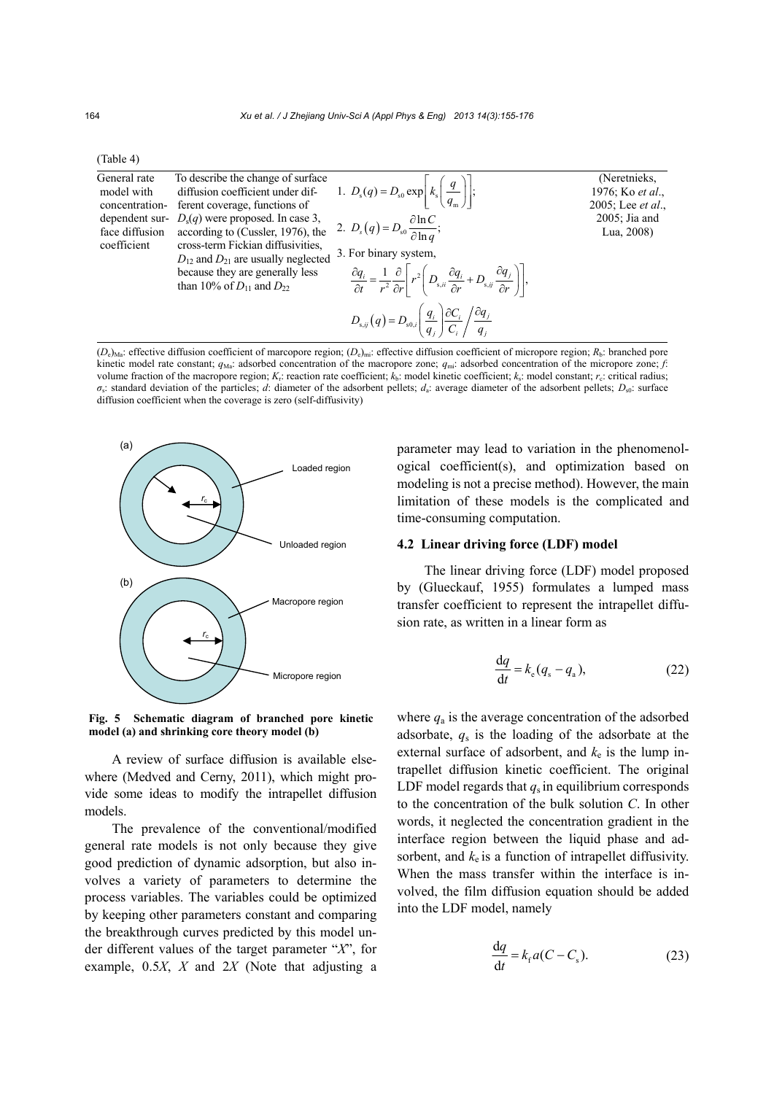| (Table 4) |  |
|-----------|--|
|           |  |

| General rate<br>model with<br>concentration-                                                             | To describe the change of surface<br>diffusion coefficient under dif-<br>ferent coverage, functions of | 1. $D_s(q) = D_{s0} \exp \left  k_s \left( \frac{q}{q_m} \right) \right ;$                                                                                                                           | (Neretnieks,<br>1976; Ko et al.,<br>2005; Lee <i>et al.</i> , |
|----------------------------------------------------------------------------------------------------------|--------------------------------------------------------------------------------------------------------|------------------------------------------------------------------------------------------------------------------------------------------------------------------------------------------------------|---------------------------------------------------------------|
| dependent sur- $D_s(q)$ were proposed. In case 3,<br>according to (Cussler, 1976), the<br>face diffusion | 2. $D_s(q) = D_{s0} \frac{\partial \ln C}{\partial \ln q}$ ;                                           | $2005$ ; Jia and<br>Lua, 2008)                                                                                                                                                                       |                                                               |
| coefficient                                                                                              | cross-term Fickian diffusivities.<br>$D_{12}$ and $D_{21}$ are usually neglected                       | 3. For binary system,                                                                                                                                                                                |                                                               |
|                                                                                                          | because they are generally less<br>than 10% of $D_{11}$ and $D_{22}$                                   | $\frac{\partial q_i}{\partial t} = \frac{1}{r^2} \frac{\partial}{\partial r} \left[ r^2 \left( D_{s,ii} \frac{\partial q_i}{\partial r} + D_{s,ij} \frac{\partial q_j}{\partial r} \right) \right],$ |                                                               |
|                                                                                                          |                                                                                                        | $D_{\mathrm{s},ij}(q) = D_{\mathrm{s0},i} \left( \frac{q_i}{q_j} \right) \frac{\partial C_i}{C_i} / \frac{\partial q_j}{q_i}$                                                                        |                                                               |

 $(D_e)_{\text{Ma}}$ : effective diffusion coefficient of marcopore region;  $(D_e)_{\text{mi}}$ : effective diffusion coefficient of micropore region;  $R_b$ : branched pore kinetic model rate constant;  $q_{\text{Ma}}$ : adsorbed concentration of the macropore zone;  $q_{\text{mi}}$ : adsorbed concentration of the micropore zone; *f*: volume fraction of the macropore region;  $K_r$ : reaction rate coefficient;  $k_b$ : model kinetic coefficient;  $k_s$ : model constant;  $r_c$ : critical radius; *σ*s: standard deviation of the particles; *d*: diameter of the adsorbent pellets; *d*a: average diameter of the adsorbent pellets; *D*s0: surface diffusion coefficient when the coverage is zero (self-diffusivity)



**Fig. 5 Schematic diagram of branched pore kinetic model (a) and shrinking core theory model (b)**

A review of surface diffusion is available elsewhere (Medved and Cerny, 2011), which might provide some ideas to modify the intrapellet diffusion models.

The prevalence of the conventional/modified general rate models is not only because they give good prediction of dynamic adsorption, but also involves a variety of parameters to determine the process variables. The variables could be optimized by keeping other parameters constant and comparing the breakthrough curves predicted by this model under different values of the target parameter "*X*", for example, 0.5*X*, *X* and 2*X* (Note that adjusting a

parameter may lead to variation in the phenomenological coefficient(s), and optimization based on modeling is not a precise method). However, the main limitation of these models is the complicated and time-consuming computation.

# **4.2 Linear driving force (LDF) model**

The linear driving force (LDF) model proposed by (Glueckauf, 1955) formulates a lumped mass transfer coefficient to represent the intrapellet diffusion rate, as written in a linear form as

$$
\frac{\mathrm{d}q}{\mathrm{d}t} = k_{\mathrm{e}}(q_{\mathrm{s}} - q_{\mathrm{a}}),\tag{22}
$$

where  $q_a$  is the average concentration of the adsorbed adsorbate, *q*s is the loading of the adsorbate at the external surface of adsorbent, and  $k<sub>e</sub>$  is the lump intrapellet diffusion kinetic coefficient. The original LDF model regards that  $q_s$  in equilibrium corresponds to the concentration of the bulk solution *C*. In other words, it neglected the concentration gradient in the interface region between the liquid phase and adsorbent, and  $k<sub>e</sub>$  is a function of intrapellet diffusivity. When the mass transfer within the interface is involved, the film diffusion equation should be added into the LDF model, namely

$$
\frac{\mathrm{d}q}{\mathrm{d}t} = k_{\mathrm{f}} a (C - C_{\mathrm{s}}). \tag{23}
$$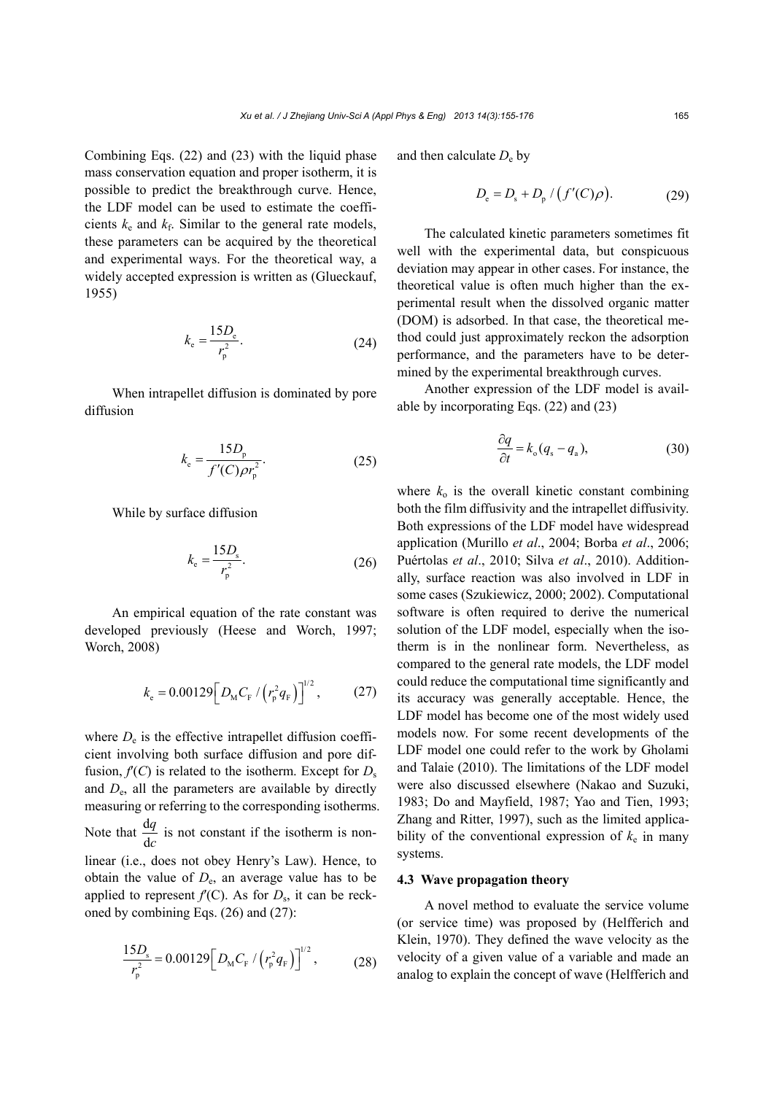Combining Eqs. (22) and (23) with the liquid phase mass conservation equation and proper isotherm, it is possible to predict the breakthrough curve. Hence, the LDF model can be used to estimate the coefficients  $k_e$  and  $k_f$ . Similar to the general rate models, these parameters can be acquired by the theoretical and experimental ways. For the theoretical way, a widely accepted expression is written as (Glueckauf, 1955)

$$
k_{\rm e} = \frac{15D_{\rm e}}{r_{\rm p}^2}.
$$
 (24)

When intrapellet diffusion is dominated by pore diffusion

$$
k_{\rm e} = \frac{15D_{\rm p}}{f'(C)\rho r_{\rm p}^2}.
$$
 (25)

While by surface diffusion

$$
k_{\rm e} = \frac{15D_{\rm s}}{r_{\rm p}^2}.
$$
 (26)

An empirical equation of the rate constant was developed previously (Heese and Worch, 1997; Worch, 2008)

$$
k_{\rm e} = 0.00129 \Big[ D_{\rm M} C_{\rm F} / \left( r_{\rm p}^2 q_{\rm F} \right) \Big]^{1/2}, \qquad (27)
$$

where  $D_e$  is the effective intrapellet diffusion coefficient involving both surface diffusion and pore diffusion,  $f'(C)$  is related to the isotherm. Except for  $D_s$ and *D*e, all the parameters are available by directly measuring or referring to the corresponding isotherms. Note that  $\frac{d}{dx}$ d *q c* is not constant if the isotherm is nonlinear (i.e., does not obey Henry's Law). Hence, to obtain the value of  $D_e$ , an average value has to be applied to represent  $f'(C)$ . As for  $D_s$ , it can be reckoned by combining Eqs. (26) and (27):

$$
\frac{15D_{\rm s}}{r_{\rm p}^2} = 0.00129 \Big[ D_{\rm M} C_{\rm F} / \left( r_{\rm p}^2 q_{\rm F} \right) \Big]^{1/2},\tag{28}
$$

and then calculate  $D_e$  by

$$
D_{\rm e} = D_{\rm s} + D_{\rm p} / (f'(C)\rho). \tag{29}
$$

The calculated kinetic parameters sometimes fit well with the experimental data, but conspicuous deviation may appear in other cases. For instance, the theoretical value is often much higher than the experimental result when the dissolved organic matter (DOM) is adsorbed. In that case, the theoretical method could just approximately reckon the adsorption performance, and the parameters have to be determined by the experimental breakthrough curves.

Another expression of the LDF model is available by incorporating Eqs. (22) and (23)

$$
\frac{\partial q}{\partial t} = k_{\rm o}(q_{\rm s} - q_{\rm a}),\tag{30}
$$

where  $k_0$  is the overall kinetic constant combining both the film diffusivity and the intrapellet diffusivity. Both expressions of the LDF model have widespread application (Murillo *et al*., 2004; Borba *et al*., 2006; Puértolas *et al*., 2010; Silva *et al*., 2010). Additionally, surface reaction was also involved in LDF in some cases (Szukiewicz, 2000; 2002). Computational software is often required to derive the numerical solution of the LDF model, especially when the isotherm is in the nonlinear form. Nevertheless, as compared to the general rate models, the LDF model could reduce the computational time significantly and its accuracy was generally acceptable. Hence, the LDF model has become one of the most widely used models now. For some recent developments of the LDF model one could refer to the work by Gholami and Talaie (2010). The limitations of the LDF model were also discussed elsewhere (Nakao and Suzuki, 1983; Do and Mayfield, 1987; Yao and Tien, 1993; Zhang and Ritter, 1997), such as the limited applicability of the conventional expression of  $k_e$  in many systems.

# **4.3 Wave propagation theory**

A novel method to evaluate the service volume (or service time) was proposed by (Helfferich and Klein, 1970). They defined the wave velocity as the velocity of a given value of a variable and made an analog to explain the concept of wave (Helfferich and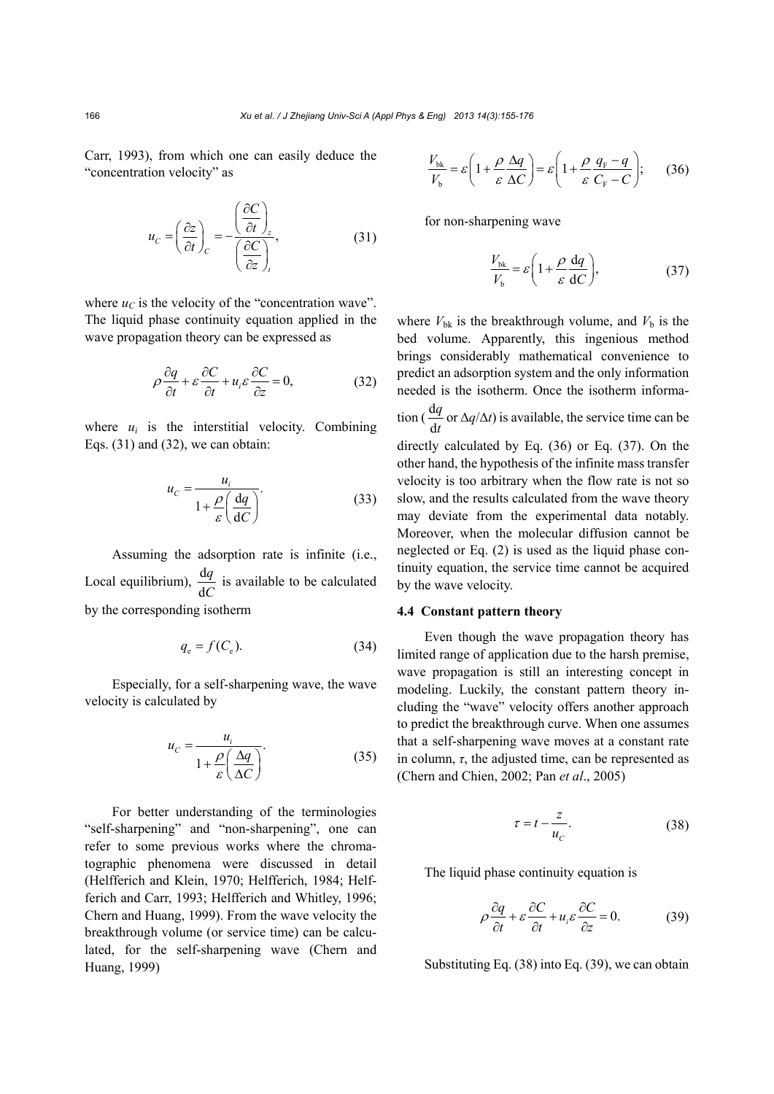Carr, 1993), from which one can easily deduce the "concentration velocity" as

$$
u_C = \left(\frac{\partial z}{\partial t}\right)_C = -\frac{\left(\frac{\partial C}{\partial t}\right)_z}{\left(\frac{\partial C}{\partial z}\right)_t},\tag{31}
$$

where  $u_C$  is the velocity of the "concentration wave". The liquid phase continuity equation applied in the wave propagation theory can be expressed as

$$
\rho \frac{\partial q}{\partial t} + \varepsilon \frac{\partial C}{\partial t} + u_i \varepsilon \frac{\partial C}{\partial z} = 0, \tag{32}
$$

where  $u_i$  is the interstitial velocity. Combining Eqs. (31) and (32), we can obtain:

$$
u_C = \frac{u_i}{1 + \frac{\rho}{\varepsilon} \left(\frac{\mathrm{d}q}{\mathrm{d}C}\right)}.\tag{33}
$$

Assuming the adsorption rate is infinite (i.e., Local equilibrium),  $\frac{d}{dt}$ d *q C* is available to be calculated by the corresponding isotherm

$$
q_e = f(C_e). \tag{34}
$$

Especially, for a self-sharpening wave, the wave velocity is calculated by

$$
u_C = \frac{u_i}{1 + \frac{\rho}{\varepsilon} \left(\frac{\Delta q}{\Delta C}\right)}.\tag{35}
$$

For better understanding of the terminologies "self-sharpening" and "non-sharpening", one can refer to some previous works where the chromatographic phenomena were discussed in detail (Helfferich and Klein, 1970; Helfferich, 1984; Helfferich and Carr, 1993; Helfferich and Whitley, 1996; Chern and Huang, 1999). From the wave velocity the breakthrough volume (or service time) can be calculated, for the self-sharpening wave (Chern and Huang, 1999)

$$
\frac{V_{\text{bk}}}{V_{\text{b}}} = \varepsilon \left( 1 + \frac{\rho}{\varepsilon} \frac{\Delta q}{\Delta C} \right) = \varepsilon \left( 1 + \frac{\rho}{\varepsilon} \frac{q_{\text{F}} - q}{C_{\text{F}} - C} \right); \tag{36}
$$

for non-sharpening wave

$$
\frac{V_{\text{bk}}}{V_{\text{b}}} = \varepsilon \left( 1 + \frac{\rho}{\varepsilon} \frac{\text{d}q}{\text{d}C} \right),\tag{37}
$$

where  $V_{\text{bk}}$  is the breakthrough volume, and  $V_{\text{b}}$  is the bed volume. Apparently, this ingenious method brings considerably mathematical convenience to predict an adsorption system and the only information needed is the isotherm. Once the isotherm information  $\left(\frac{d}{dx}\right)$ d *q t* or ∆*q*/∆*t*) is available, the service time can be directly calculated by Eq. (36) or Eq. (37). On the other hand, the hypothesis of the infinite mass transfer velocity is too arbitrary when the flow rate is not so slow, and the results calculated from the wave theory may deviate from the experimental data notably. Moreover, when the molecular diffusion cannot be neglected or Eq. (2) is used as the liquid phase continuity equation, the service time cannot be acquired by the wave velocity.

#### **4.4 Constant pattern theory**

Even though the wave propagation theory has limited range of application due to the harsh premise, wave propagation is still an interesting concept in modeling. Luckily, the constant pattern theory including the "wave" velocity offers another approach to predict the breakthrough curve. When one assumes that a self-sharpening wave moves at a constant rate in column,  $\tau$ , the adjusted time, can be represented as (Chern and Chien, 2002; Pan *et al*., 2005)

$$
\tau = t - \frac{z}{u_C}.\tag{38}
$$

The liquid phase continuity equation is

$$
\rho \frac{\partial q}{\partial t} + \varepsilon \frac{\partial C}{\partial t} + u_i \varepsilon \frac{\partial C}{\partial z} = 0.
$$
 (39)

Substituting Eq. (38) into Eq. (39), we can obtain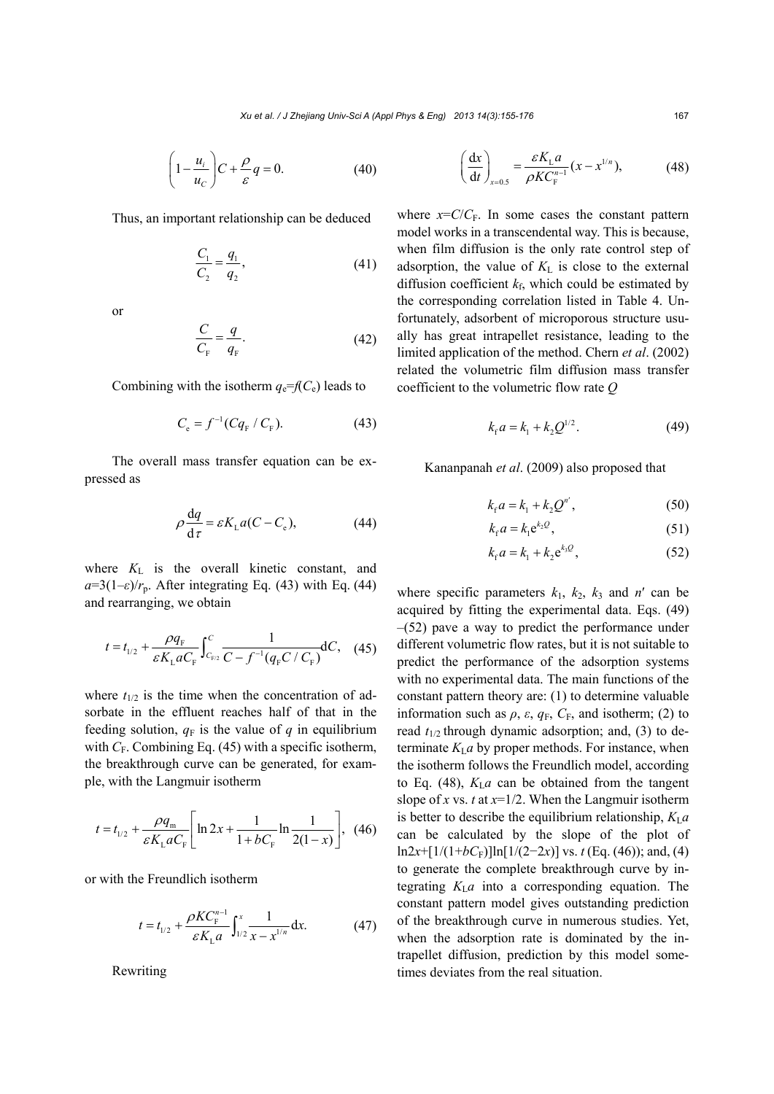$$
\left(1 - \frac{u_i}{u_C}\right)C + \frac{\rho}{\varepsilon}q = 0.
$$
 (40)

Thus, an important relationship can be deduced

$$
\frac{C_1}{C_2} = \frac{q_1}{q_2},\tag{41}
$$

or

$$
\frac{C}{C_{\rm F}} = \frac{q}{q_{\rm F}}.\tag{42}
$$

Combining with the isotherm  $q_e = f(C_e)$  leads to

$$
C_{\rm e} = f^{-1} (Cq_{\rm F} / C_{\rm F}). \tag{43}
$$

The overall mass transfer equation can be expressed as

$$
\rho \frac{\mathrm{d}q}{\mathrm{d}\tau} = \varepsilon K_{\mathrm{L}} a (C - C_{\mathrm{e}}),\tag{44}
$$

where  $K<sub>L</sub>$  is the overall kinetic constant, and  $a=3(1-\varepsilon)/r_p$ . After integrating Eq. (43) with Eq. (44) and rearranging, we obtain

$$
t = t_{1/2} + \frac{\rho q_{\rm F}}{\varepsilon K_{\rm L} a C_{\rm F}} \int_{C_{\rm F/2}}^{C} \frac{1}{C - f^{-1} (q_{\rm F} C / C_{\rm F})} dC, \quad (45)
$$

where  $t_{1/2}$  is the time when the concentration of adsorbate in the effluent reaches half of that in the feeding solution,  $q_F$  is the value of  $q$  in equilibrium with  $C_F$ . Combining Eq. (45) with a specific isotherm, the breakthrough curve can be generated, for example, with the Langmuir isotherm

$$
t = t_{1/2} + \frac{\rho q_{\rm m}}{\varepsilon K_{\rm L} a C_{\rm F}} \left[ \ln 2x + \frac{1}{1 + b C_{\rm F}} \ln \frac{1}{2(1 - x)} \right], \tag{46}
$$

or with the Freundlich isotherm

$$
t = t_{1/2} + \frac{\rho K C_{\rm F}^{n-1}}{\varepsilon K_{\rm L} a} \int_{1/2}^{x} \frac{1}{x - x^{1/n}} dx.
$$
 (47)

Rewriting

$$
\left(\frac{\mathrm{d}x}{\mathrm{d}t}\right)_{x=0.5} = \frac{\varepsilon K_{\mathrm{L}} a}{\rho K C_{\mathrm{F}}^{n-1}} (x - x^{1/n}),\tag{48}
$$

where  $x = C/C_F$ . In some cases the constant pattern model works in a transcendental way. This is because, when film diffusion is the only rate control step of adsorption, the value of  $K<sub>L</sub>$  is close to the external diffusion coefficient  $k_f$ , which could be estimated by the corresponding correlation listed in Table 4. Unfortunately, adsorbent of microporous structure usually has great intrapellet resistance, leading to the limited application of the method. Chern *et al*. (2002) related the volumetric film diffusion mass transfer coefficient to the volumetric flow rate *Q*

$$
k_{\rm f}a = k_{\rm l} + k_{\rm 2}Q^{1/2}.
$$
 (49)

Kananpanah *et al*. (2009) also proposed that

$$
k_{\rm r}a = k_{\rm l} + k_{\rm 2}Q^{n'},\tag{50}
$$

$$
k_{\rm f} a = k_{\rm l} e^{k_2 Q},\tag{51}
$$

$$
k_{\rm f} a = k_1 + k_2 e^{k_3 Q}, \tag{52}
$$

where specific parameters  $k_1$ ,  $k_2$ ,  $k_3$  and  $n'$  can be acquired by fitting the experimental data. Eqs. (49)  $-(52)$  pave a way to predict the performance under different volumetric flow rates, but it is not suitable to predict the performance of the adsorption systems with no experimental data. The main functions of the constant pattern theory are: (1) to determine valuable information such as  $\rho$ ,  $\varepsilon$ ,  $q_F$ ,  $C_F$ , and isotherm; (2) to read  $t_{1/2}$  through dynamic adsorption; and, (3) to determinate  $K_{\text{I}}a$  by proper methods. For instance, when the isotherm follows the Freundlich model, according to Eq. (48),  $K<sub>L</sub>a$  can be obtained from the tangent slope of *x* vs. *t* at  $x=1/2$ . When the Langmuir isotherm is better to describe the equilibrium relationship,  $K_{\rm L}a$ can be calculated by the slope of the plot of ln2*x*+[1/(1+*bC*<sub>F</sub>)]ln[1/(2-2*x*)] vs. *t* (Eq. (46)); and, (4) to generate the complete breakthrough curve by integrating  $K_{\text{L}}a$  into a corresponding equation. The constant pattern model gives outstanding prediction of the breakthrough curve in numerous studies. Yet, when the adsorption rate is dominated by the intrapellet diffusion, prediction by this model sometimes deviates from the real situation.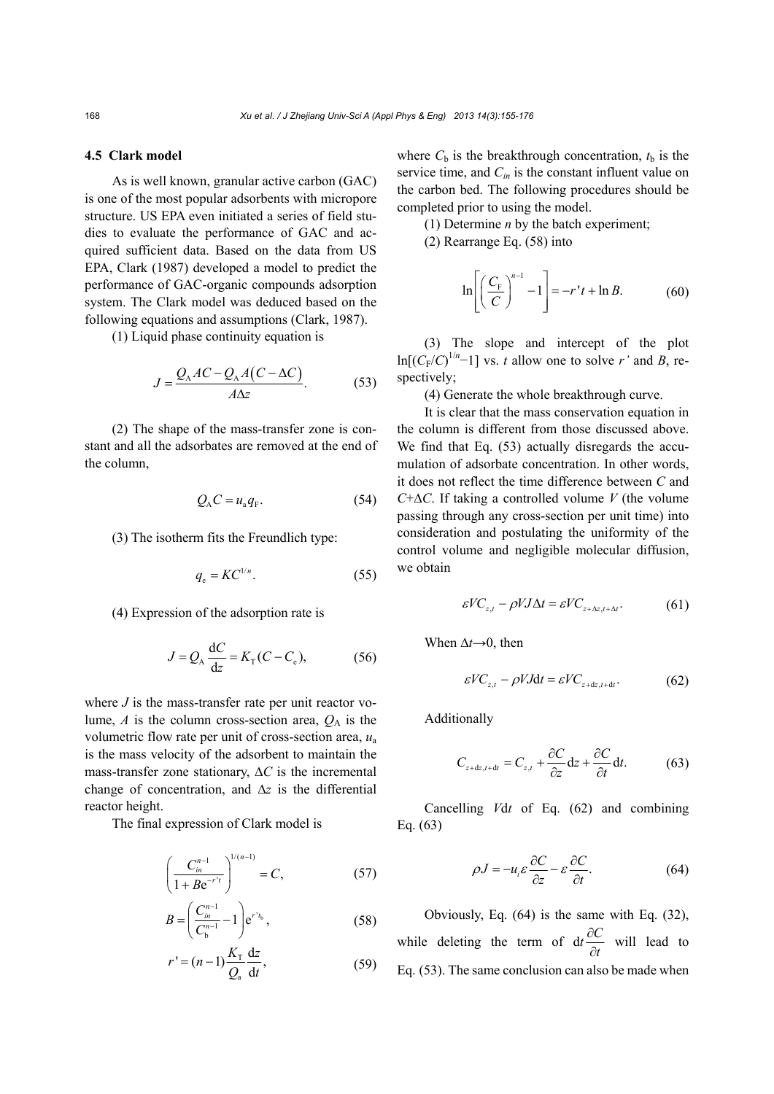# **4.5 Clark model**

As is well known, granular active carbon (GAC) is one of the most popular adsorbents with micropore structure. US EPA even initiated a series of field studies to evaluate the performance of GAC and acquired sufficient data. Based on the data from US EPA, Clark (1987) developed a model to predict the performance of GAC-organic compounds adsorption system. The Clark model was deduced based on the following equations and assumptions (Clark, 1987).

(1) Liquid phase continuity equation is

$$
J = \frac{Q_A AC - Q_A A (C - \Delta C)}{A \Delta z}.
$$
 (53)

(2) The shape of the mass-transfer zone is constant and all the adsorbates are removed at the end of the column,

$$
Q_{A}C = u_{a}q_{F}.
$$
 (54)

(3) The isotherm fits the Freundlich type:

$$
q_e = KC^{1/n}.\tag{55}
$$

(4) Expression of the adsorption rate is

$$
J = Q_{\rm A} \frac{\rm dC}{\rm dZ} = K_{\rm T} (C - C_{\rm e}),\tag{56}
$$

where *J* is the mass-transfer rate per unit reactor volume,  $A$  is the column cross-section area,  $Q_A$  is the volumetric flow rate per unit of cross-section area, *u*<sup>a</sup> is the mass velocity of the adsorbent to maintain the mass-transfer zone stationary, ∆*C* is the incremental change of concentration, and ∆*z* is the differential reactor height.

The final expression of Clark model is

$$
\left(\frac{C_{in}^{n-1}}{1 + Be^{-r't}}\right)^{1/(n-1)} = C,\tag{57}
$$

$$
B = \left(\frac{C_{in}^{n-1}}{C_{\rm b}^{n-1}} - 1\right) e^{r't_{\rm b}},\tag{58}
$$

$$
r' = (n-1)\frac{K_{\rm T}}{Q_{\rm a}}\frac{\mathrm{d}z}{\mathrm{d}t},\tag{59}
$$

where  $C_b$  is the breakthrough concentration,  $t_b$  is the service time, and  $C_{in}$  is the constant influent value on the carbon bed. The following procedures should be completed prior to using the model.

- (1) Determine *n* by the batch experiment;
- (2) Rearrange Eq. (58) into

$$
\ln\left[\left(\frac{C_{\rm F}}{C}\right)^{n-1}-1\right]=-r't+\ln B.\tag{60}
$$

(3) The slope and intercept of the plot  $\ln[(C_F/C)^{1/n}-1]$  vs. *t* allow one to solve *r'* and *B*, respectively;

(4) Generate the whole breakthrough curve.

It is clear that the mass conservation equation in the column is different from those discussed above. We find that Eq. (53) actually disregards the accumulation of adsorbate concentration. In other words, it does not reflect the time difference between *C* and *C*+∆*C*. If taking a controlled volume *V* (the volume passing through any cross-section per unit time) into consideration and postulating the uniformity of the control volume and negligible molecular diffusion, we obtain

$$
\varepsilon V C_{z,t} - \rho V J \Delta t = \varepsilon V C_{z + \Delta z, t + \Delta t}.
$$
 (61)

When  $\Delta t$  → 0, then

$$
\varepsilon V C_{z,t} - \rho V J dt = \varepsilon V C_{z+dz,t+dt}.
$$
 (62)

Additionally

$$
C_{z+dz,t+dt} = C_{z,t} + \frac{\partial C}{\partial z} dz + \frac{\partial C}{\partial t} dt.
$$
 (63)

Cancelling *V*d*t* of Eq. (62) and combining Eq. (63)

$$
\rho J = -u_i \varepsilon \frac{\partial C}{\partial z} - \varepsilon \frac{\partial C}{\partial t}.
$$
 (64)

Obviously, Eq. (64) is the same with Eq. (32), while deleting the term of  $dt \frac{\partial}{\partial t}$  $\tilde{c}$  $t \frac{\partial C}{\partial t}$ *t* will lead to Eq. (53). The same conclusion can also be made when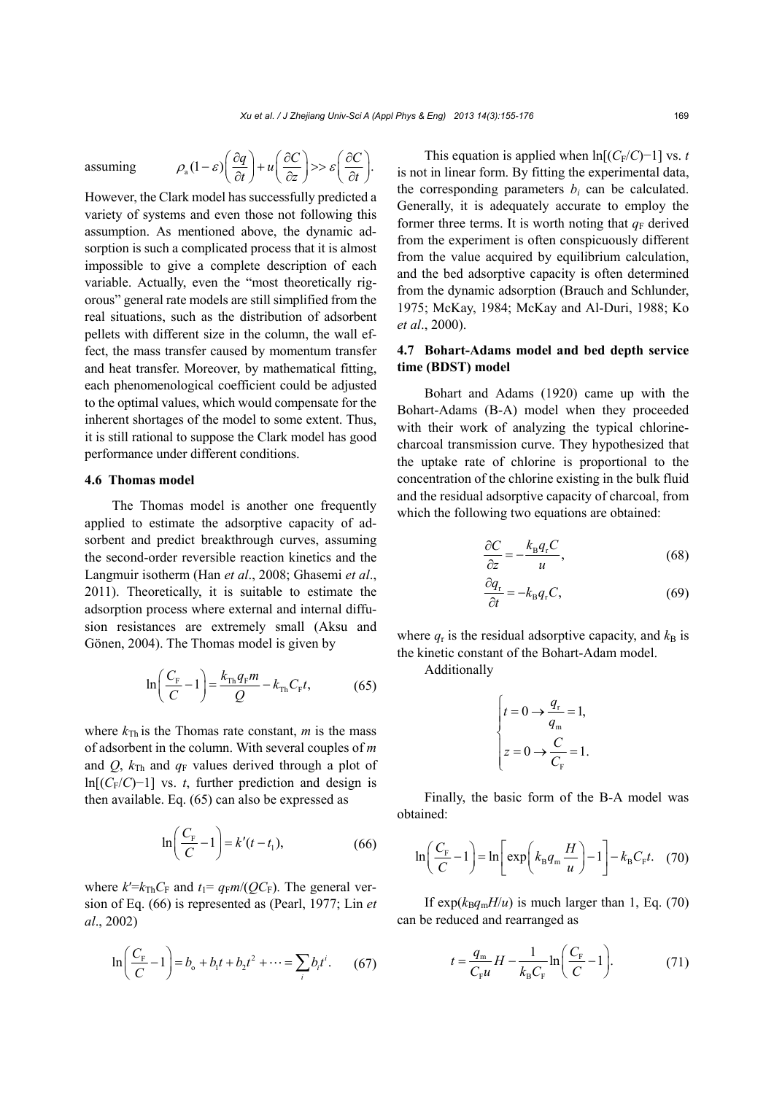assuming 
$$
\rho_a (1-\varepsilon) \left( \frac{\partial q}{\partial t} \right) + u \left( \frac{\partial C}{\partial z} \right) >> \varepsilon \left( \frac{\partial C}{\partial t} \right).
$$

However, the Clark model has successfully predicted a variety of systems and even those not following this assumption. As mentioned above, the dynamic adsorption is such a complicated process that it is almost impossible to give a complete description of each variable. Actually, even the "most theoretically rigorous" general rate models are still simplified from the real situations, such as the distribution of adsorbent pellets with different size in the column, the wall effect, the mass transfer caused by momentum transfer and heat transfer. Moreover, by mathematical fitting, each phenomenological coefficient could be adjusted to the optimal values, which would compensate for the inherent shortages of the model to some extent. Thus, it is still rational to suppose the Clark model has good performance under different conditions.

# **4.6 Thomas model**

The Thomas model is another one frequently applied to estimate the adsorptive capacity of adsorbent and predict breakthrough curves, assuming the second-order reversible reaction kinetics and the Langmuir isotherm (Han *et al*., 2008; Ghasemi *et al*., 2011). Theoretically, it is suitable to estimate the adsorption process where external and internal diffusion resistances are extremely small (Aksu and Gönen, 2004). The Thomas model is given by

$$
\ln\left(\frac{C_{\rm F}}{C} - 1\right) = \frac{k_{\rm Th}q_{\rm F}m}{Q} - k_{\rm Th}C_{\rm F}t,\tag{65}
$$

where  $k_{\text{Th}}$  is the Thomas rate constant, *m* is the mass of adsorbent in the column. With several couples of *m* and *Q*,  $k_{\text{Th}}$  and  $q_{\text{F}}$  values derived through a plot of ln[ $(C_F/C)-1$ ] vs. *t*, further prediction and design is then available. Eq. (65) can also be expressed as

$$
\ln\left(\frac{C_{\rm F}}{C} - 1\right) = k'(t - t_1),\tag{66}
$$

where  $k'=k_{\text{Th}}C_{\text{F}}$  and  $t_1=q_{\text{F}}m/(QC_{\text{F}})$ . The general version of Eq. (66) is represented as (Pearl, 1977; Lin *et al*., 2002)

$$
\ln\left(\frac{C_{\rm F}}{C} - 1\right) = b_{\rm o} + b_{\rm i}t + b_{\rm 2}t^2 + \dots = \sum_{i} b_{i}t^{i}.\tag{67}
$$

This equation is applied when  $\ln[(C_F/C)-1]$  vs. *t* is not in linear form. By fitting the experimental data, the corresponding parameters  $b_i$  can be calculated. Generally, it is adequately accurate to employ the former three terms. It is worth noting that  $q_F$  derived from the experiment is often conspicuously different from the value acquired by equilibrium calculation, and the bed adsorptive capacity is often determined from the dynamic adsorption (Brauch and Schlunder, 1975; McKay, 1984; McKay and Al-Duri, 1988; Ko *et al*., 2000).

# **4.7 Bohart-Adams model and bed depth service time (BDST) model**

Bohart and Adams (1920) came up with the Bohart-Adams (B-A) model when they proceeded with their work of analyzing the typical chlorinecharcoal transmission curve. They hypothesized that the uptake rate of chlorine is proportional to the concentration of the chlorine existing in the bulk fluid and the residual adsorptive capacity of charcoal, from which the following two equations are obtained:

$$
\frac{\partial C}{\partial z} = -\frac{k_{\rm B}q_{\rm r}C}{u},\tag{68}
$$

$$
\frac{\partial q_{\rm r}}{\partial t} = -k_{\rm B} q_{\rm r} C,\tag{69}
$$

where  $q_r$  is the residual adsorptive capacity, and  $k_B$  is the kinetic constant of the Bohart-Adam model.

Additionally

$$
\begin{cases} t = 0 \to \frac{q_r}{q_m} = 1, \\ z = 0 \to \frac{C}{C_F} = 1. \end{cases}
$$

Finally, the basic form of the B-A model was obtained:

$$
\ln\left(\frac{C_{\rm F}}{C} - 1\right) = \ln\left[\exp\left(k_{\rm B}q_{\rm m}\frac{H}{u}\right) - 1\right] - k_{\rm B}C_{\rm F}t.\quad(70)
$$

If  $exp(k_Bq_mH/u)$  is much larger than 1, Eq. (70) can be reduced and rearranged as

$$
t = \frac{q_{\rm m}}{C_{\rm F}u}H - \frac{1}{k_{\rm B}C_{\rm F}}\ln\left(\frac{C_{\rm F}}{C} - 1\right).
$$
 (71)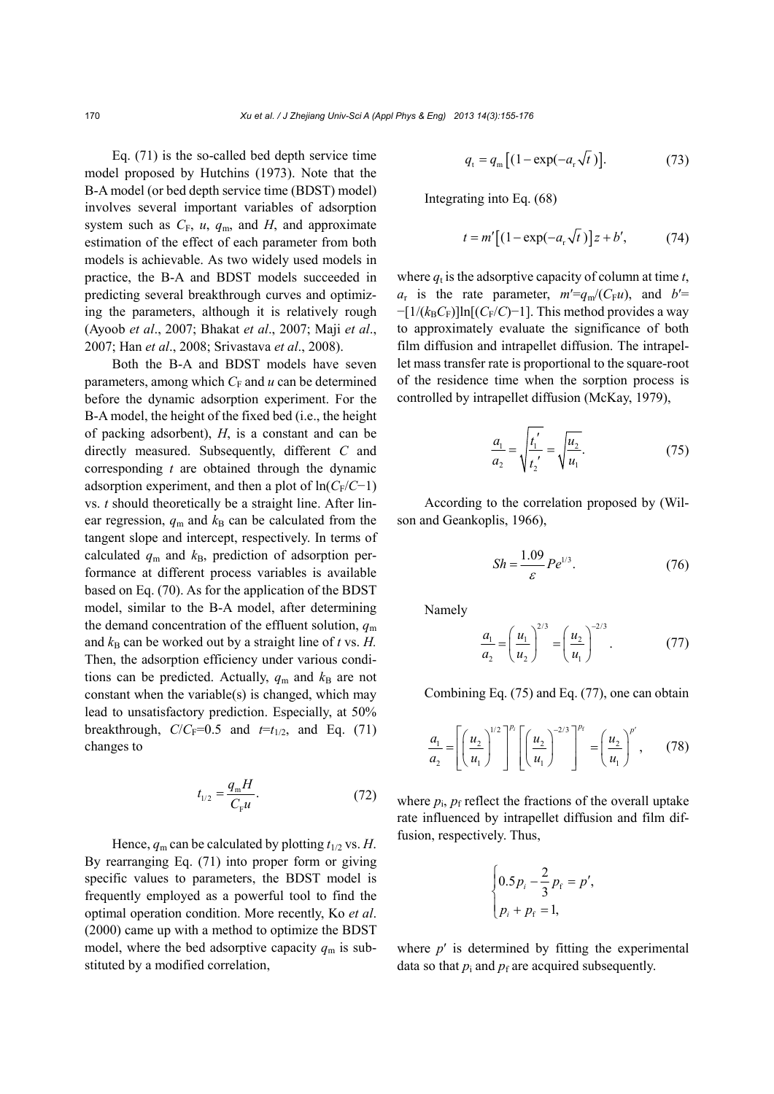Eq. (71) is the so-called bed depth service time model proposed by Hutchins (1973). Note that the B-A model (or bed depth service time (BDST) model) involves several important variables of adsorption system such as  $C_F$ ,  $u$ ,  $q_m$ , and  $H$ , and approximate estimation of the effect of each parameter from both models is achievable. As two widely used models in practice, the B-A and BDST models succeeded in predicting several breakthrough curves and optimizing the parameters, although it is relatively rough (Ayoob *et al*., 2007; Bhakat *et al*., 2007; Maji *et al*., 2007; Han *et al*., 2008; Srivastava *et al*., 2008).

Both the B-A and BDST models have seven parameters, among which  $C_F$  and  $u$  can be determined before the dynamic adsorption experiment. For the B-A model, the height of the fixed bed (i.e., the height of packing adsorbent), *H*, is a constant and can be directly measured. Subsequently, different *C* and corresponding *t* are obtained through the dynamic adsorption experiment, and then a plot of  $ln(C_F/C-1)$ vs. *t* should theoretically be a straight line. After linear regression,  $q_m$  and  $k_B$  can be calculated from the tangent slope and intercept, respectively. In terms of calculated  $q_m$  and  $k_B$ , prediction of adsorption performance at different process variables is available based on Eq. (70). As for the application of the BDST model, similar to the B-A model, after determining the demand concentration of the effluent solution,  $q<sub>m</sub>$ and  $k_B$  can be worked out by a straight line of *t* vs. *H*. Then, the adsorption efficiency under various conditions can be predicted. Actually,  $q_m$  and  $k_B$  are not constant when the variable(s) is changed, which may lead to unsatisfactory prediction. Especially, at 50% breakthrough,  $C/C_F=0.5$  and  $t=t_{1/2}$ , and Eq. (71) changes to

$$
t_{1/2} = \frac{q_{\rm m}H}{C_{\rm F}u}.\tag{72}
$$

Hence,  $q_m$  can be calculated by plotting  $t_{1/2}$  vs. *H*. By rearranging Eq. (71) into proper form or giving specific values to parameters, the BDST model is frequently employed as a powerful tool to find the optimal operation condition. More recently, Ko *et al*. (2000) came up with a method to optimize the BDST model, where the bed adsorptive capacity  $q_m$  is substituted by a modified correlation,

$$
q_{t} = q_{m} \left[ \left( 1 - \exp(-a_{r} \sqrt{t}) \right) \right]. \tag{73}
$$

Integrating into Eq. (68)

$$
t = m'[(1 - \exp(-a_r \sqrt{t})]z + b',
$$
 (74)

where  $q_t$  is the adsorptive capacity of column at time  $t$ ,  $a_r$  is the rate parameter,  $m' = q_m/(C_F u)$ , and  $b' =$ −[1/(*k*B*C*F)]ln[(*C*F/*C*)−1]. This method provides a way to approximately evaluate the significance of both film diffusion and intrapellet diffusion. The intrapellet mass transfer rate is proportional to the square-root of the residence time when the sorption process is controlled by intrapellet diffusion (McKay, 1979),

$$
\frac{a_1}{a_2} = \sqrt{\frac{t_1'}{t_2'}} = \sqrt{\frac{u_2}{u_1}}.\tag{75}
$$

According to the correlation proposed by (Wilson and Geankoplis, 1966),

$$
Sh = \frac{1.09}{\varepsilon} P e^{1/3}.
$$
 (76)

Namely

$$
\frac{a_1}{a_2} = \left(\frac{u_1}{u_2}\right)^{2/3} = \left(\frac{u_2}{u_1}\right)^{-2/3}.\tag{77}
$$

Combining Eq. (75) and Eq. (77), one can obtain

$$
\frac{a_1}{a_2} = \left[ \left( \frac{u_2}{u_1} \right)^{1/2} \right]^{p_1} \left[ \left( \frac{u_2}{u_1} \right)^{-2/3} \right]^{p_2} = \left( \frac{u_2}{u_1} \right)^{p'}, \qquad (78)
$$

where  $p_i$ ,  $p_f$  reflect the fractions of the overall uptake rate influenced by intrapellet diffusion and film diffusion, respectively. Thus,

$$
\begin{cases} 0.5 p_i - \frac{2}{3} p_f = p', \\ p_i + p_f = 1, \end{cases}
$$

where  $p'$  is determined by fitting the experimental data so that  $p_i$  and  $p_f$  are acquired subsequently.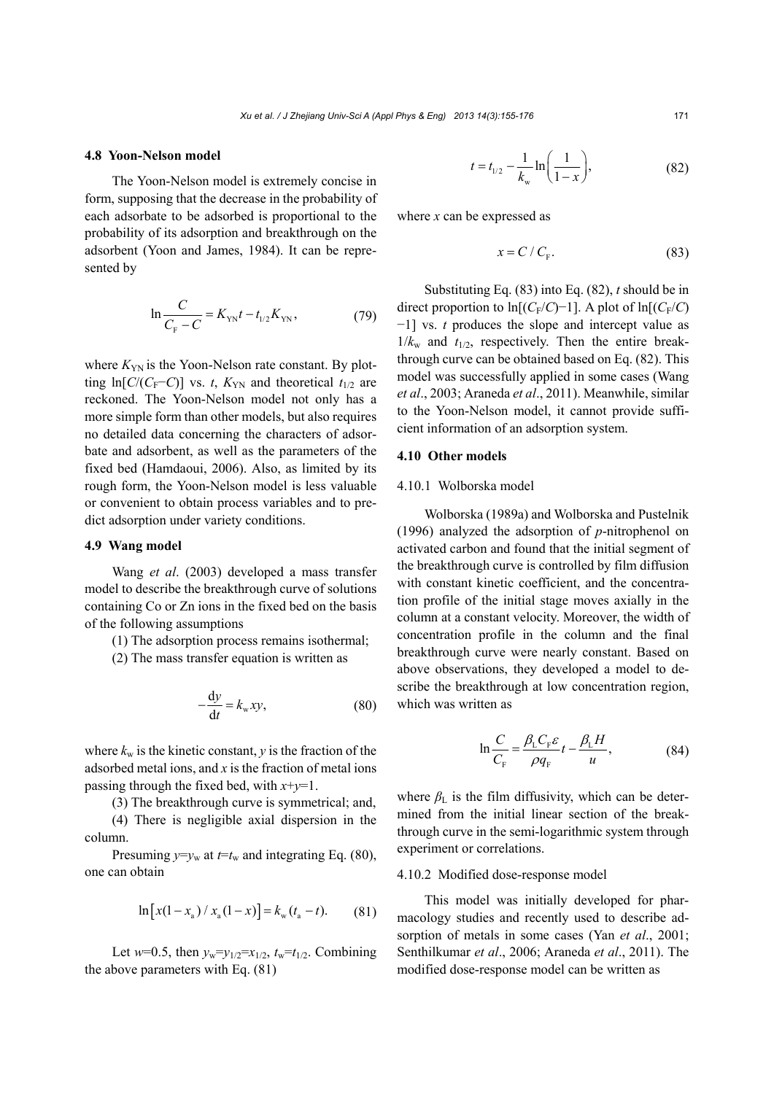# **4.8 Yoon-Nelson model**

The Yoon-Nelson model is extremely concise in form, supposing that the decrease in the probability of each adsorbate to be adsorbed is proportional to the probability of its adsorption and breakthrough on the adsorbent (Yoon and James, 1984). It can be represented by

$$
\ln \frac{C}{C_{\rm F} - C} = K_{\rm YN} t - t_{1/2} K_{\rm YN},\tag{79}
$$

where  $K_{\text{YN}}$  is the Yoon-Nelson rate constant. By plotting ln[ $C/(C_F-C)$ ] vs. *t*,  $K_{YN}$  and theoretical  $t_{1/2}$  are reckoned. The Yoon-Nelson model not only has a more simple form than other models, but also requires no detailed data concerning the characters of adsorbate and adsorbent, as well as the parameters of the fixed bed (Hamdaoui, 2006). Also, as limited by its rough form, the Yoon-Nelson model is less valuable or convenient to obtain process variables and to predict adsorption under variety conditions.

# **4.9 Wang model**

Wang *et al*. (2003) developed a mass transfer model to describe the breakthrough curve of solutions containing Co or Zn ions in the fixed bed on the basis of the following assumptions

(1) The adsorption process remains isothermal;

(2) The mass transfer equation is written as

$$
-\frac{\mathrm{d}y}{\mathrm{d}t} = k_{\mathrm{w}}xy,\tag{80}
$$

where  $k_w$  is the kinetic constant,  $y$  is the fraction of the adsorbed metal ions, and *x* is the fraction of metal ions passing through the fixed bed, with *x*+*y*=1.

(3) The breakthrough curve is symmetrical; and,

(4) There is negligible axial dispersion in the column.

Presuming  $y=y_w$  at  $t=t_w$  and integrating Eq. (80), one can obtain

$$
\ln\left[x(1-x_{a})/x_{a}(1-x)\right] = k_{w}(t_{a}-t). \tag{81}
$$

Let  $w=0.5$ , then  $y_w=y_{1/2}=x_{1/2}$ ,  $t_w=t_{1/2}$ . Combining the above parameters with Eq. (81)

$$
t = t_{1/2} - \frac{1}{k_w} \ln\left(\frac{1}{1-x}\right),\tag{82}
$$

where *x* can be expressed as

$$
x = C / C_{\rm F}.
$$
 (83)

Substituting Eq. (83) into Eq. (82), *t* should be in direct proportion to ln[ $(C_F/C)$ −1]. A plot of ln[ $(C_F/C)$ −1] vs. *t* produces the slope and intercept value as  $1/k_w$  and  $t_{1/2}$ , respectively. Then the entire breakthrough curve can be obtained based on Eq. (82). This model was successfully applied in some cases (Wang *et al*., 2003; Araneda *et al*., 2011). Meanwhile, similar to the Yoon-Nelson model, it cannot provide sufficient information of an adsorption system.

### **4.10 Other models**

#### 4.10.1 Wolborska model

Wolborska (1989a) and Wolborska and Pustelnik (1996) analyzed the adsorption of *p*-nitrophenol on activated carbon and found that the initial segment of the breakthrough curve is controlled by film diffusion with constant kinetic coefficient, and the concentration profile of the initial stage moves axially in the column at a constant velocity. Moreover, the width of concentration profile in the column and the final breakthrough curve were nearly constant. Based on above observations, they developed a model to describe the breakthrough at low concentration region, which was written as

$$
\ln \frac{C}{C_{\rm F}} = \frac{\beta_{\rm L} C_{\rm F} \varepsilon}{\rho q_{\rm F}} t - \frac{\beta_{\rm L} H}{u},\tag{84}
$$

where  $\beta_L$  is the film diffusivity, which can be determined from the initial linear section of the breakthrough curve in the semi-logarithmic system through experiment or correlations.

#### 4.10.2 Modified dose-response model

This model was initially developed for pharmacology studies and recently used to describe adsorption of metals in some cases (Yan *et al*., 2001; Senthilkumar *et al*., 2006; Araneda *et al*., 2011). The modified dose-response model can be written as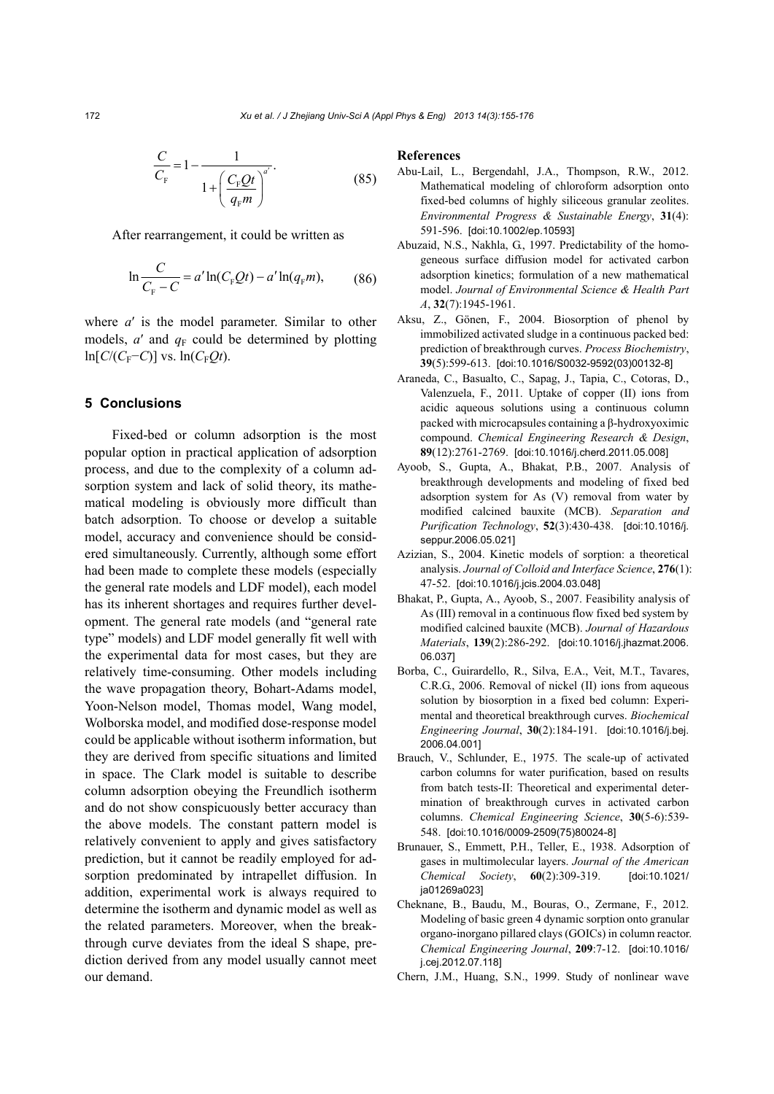$$
\frac{C}{C_{F}} = 1 - \frac{1}{1 + \left(\frac{C_{F}Qt}{q_{F}m}\right)^{a'}}.
$$
\n(85)

After rearrangement, it could be written as

$$
\ln \frac{C}{C_{\rm F} - C} = a' \ln(C_{\rm F} Qt) - a' \ln(q_{\rm F} m),\tag{86}
$$

where *a*′ is the model parameter. Similar to other models,  $a'$  and  $q_F$  could be determined by plotting  $ln[C/(C_F−C)]$  vs.  $ln(C_FQt)$ .

# **5 Conclusions**

Fixed-bed or column adsorption is the most popular option in practical application of adsorption process, and due to the complexity of a column adsorption system and lack of solid theory, its mathematical modeling is obviously more difficult than batch adsorption. To choose or develop a suitable model, accuracy and convenience should be considered simultaneously. Currently, although some effort had been made to complete these models (especially the general rate models and LDF model), each model has its inherent shortages and requires further development. The general rate models (and "general rate type" models) and LDF model generally fit well with the experimental data for most cases, but they are relatively time-consuming. Other models including the wave propagation theory, Bohart-Adams model, Yoon-Nelson model, Thomas model, Wang model, Wolborska model, and modified dose-response model could be applicable without isotherm information, but they are derived from specific situations and limited in space. The Clark model is suitable to describe column adsorption obeying the Freundlich isotherm and do not show conspicuously better accuracy than the above models. The constant pattern model is relatively convenient to apply and gives satisfactory prediction, but it cannot be readily employed for adsorption predominated by intrapellet diffusion. In addition, experimental work is always required to determine the isotherm and dynamic model as well as the related parameters. Moreover, when the breakthrough curve deviates from the ideal S shape, prediction derived from any model usually cannot meet our demand.

#### **References**

- Abu-Lail, L., Bergendahl, J.A., Thompson, R.W., 2012. Mathematical modeling of chloroform adsorption onto fixed-bed columns of highly siliceous granular zeolites. *Environmental Progress & Sustainable Energy*, **31**(4): 591-596. [doi:10.1002/ep.10593]
- Abuzaid, N.S., Nakhla, G., 1997. Predictability of the homogeneous surface diffusion model for activated carbon adsorption kinetics; formulation of a new mathematical model. *Journal of Environmental Science & Health Part A*, **32**(7):1945-1961.
- Aksu, Z., Gönen, F., 2004. Biosorption of phenol by immobilized activated sludge in a continuous packed bed: prediction of breakthrough curves. *Process Biochemistry*, **39**(5):599-613. [doi:10.1016/S0032-9592(03)00132-8]
- Araneda, C., Basualto, C., Sapag, J., Tapia, C., Cotoras, D., Valenzuela, F., 2011. Uptake of copper (II) ions from acidic aqueous solutions using a continuous column packed with microcapsules containing a β-hydroxyoximic compound. *Chemical Engineering Research & Design*, **89**(12):2761-2769. [doi:10.1016/j.cherd.2011.05.008]
- Ayoob, S., Gupta, A., Bhakat, P.B., 2007. Analysis of breakthrough developments and modeling of fixed bed adsorption system for As (V) removal from water by modified calcined bauxite (MCB). *Separation and Purification Technology*, **52**(3):430-438. [doi:10.1016/j. seppur.2006.05.021]
- Azizian, S., 2004. Kinetic models of sorption: a theoretical analysis. *Journal of Colloid and Interface Science*, **276**(1): 47-52. [doi:10.1016/j.jcis.2004.03.048]
- Bhakat, P., Gupta, A., Ayoob, S., 2007. Feasibility analysis of As (III) removal in a continuous flow fixed bed system by modified calcined bauxite (MCB). *Journal of Hazardous Materials*, **139**(2):286-292. [doi:10.1016/j.jhazmat.2006. 06.037]
- Borba, C., Guirardello, R., Silva, E.A., Veit, M.T., Tavares, C.R.G., 2006. Removal of nickel (II) ions from aqueous solution by biosorption in a fixed bed column: Experimental and theoretical breakthrough curves. *Biochemical Engineering Journal*, **30**(2):184-191. [doi:10.1016/j.bej. 2006.04.001]
- Brauch, V., Schlunder, E., 1975. The scale-up of activated carbon columns for water purification, based on results from batch tests-II: Theoretical and experimental determination of breakthrough curves in activated carbon columns. *Chemical Engineering Science*, **30**(5-6):539- 548. [doi:10.1016/0009-2509(75)80024-8]
- Brunauer, S., Emmett, P.H., Teller, E., 1938. Adsorption of gases in multimolecular layers. *Journal of the American Chemical Society*, **60**(2):309-319. [doi:10.1021/ ja01269a023]
- Cheknane, B., Baudu, M., Bouras, O., Zermane, F., 2012. Modeling of basic green 4 dynamic sorption onto granular organo-inorgano pillared clays (GOICs) in column reactor. *Chemical Engineering Journal*, **209**:7-12. [doi:10.1016/ j.cej.2012.07.118]
- Chern, J.M., Huang, S.N., 1999. Study of nonlinear wave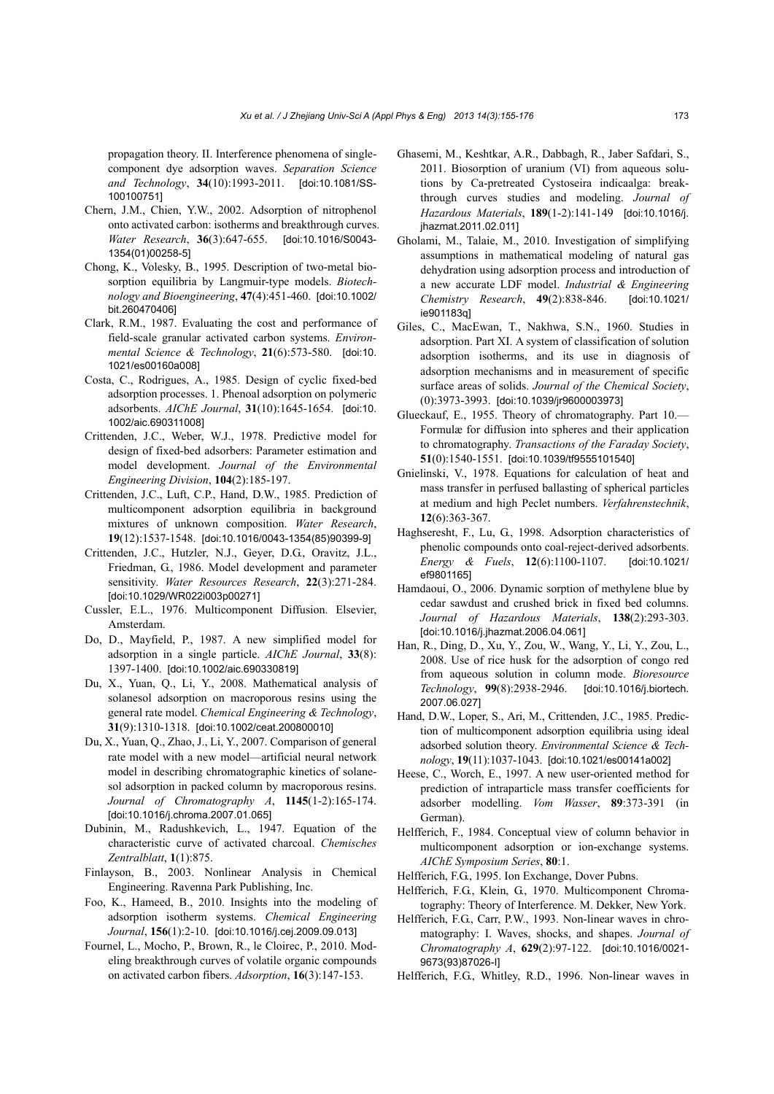propagation theory. II. Interference phenomena of singlecomponent dye adsorption waves. *Separation Science and Technology*, **34**(10):1993-2011. [doi:10.1081/SS-100100751]

- Chern, J.M., Chien, Y.W., 2002. Adsorption of nitrophenol onto activated carbon: isotherms and breakthrough curves. *Water Research*, **36**(3):647-655. [doi:10.1016/S0043- 1354(01)00258-5]
- Chong, K., Volesky, B., 1995. Description of two-metal biosorption equilibria by Langmuir-type models. *Biotechnology and Bioengineering*, **47**(4):451-460. [doi:10.1002/ bit.260470406]
- Clark, R.M., 1987. Evaluating the cost and performance of field-scale granular activated carbon systems. *Environmental Science & Technology*, **21**(6):573-580. [doi:10. 1021/es00160a008]
- Costa, C., Rodrigues, A., 1985. Design of cyclic fixed-bed adsorption processes. 1. Phenoal adsorption on polymeric adsorbents. *AIChE Journal*, **31**(10):1645-1654. [doi:10. 1002/aic.690311008]
- Crittenden, J.C., Weber, W.J., 1978. Predictive model for design of fixed-bed adsorbers: Parameter estimation and model development. *Journal of the Environmental Engineering Division*, **104**(2):185-197.
- Crittenden, J.C., Luft, C.P., Hand, D.W., 1985. Prediction of multicomponent adsorption equilibria in background mixtures of unknown composition. *Water Research*, **19**(12):1537-1548. [doi:10.1016/0043-1354(85)90399-9]
- Crittenden, J.C., Hutzler, N.J., Geyer, D.G., Oravitz, J.L., Friedman, G., 1986. Model development and parameter sensitivity. *Water Resources Research*, **22**(3):271-284. [doi:10.1029/WR022i003p00271]
- Cussler, E.L., 1976. Multicomponent Diffusion. Elsevier, Amsterdam.
- Do, D., Mayfield, P., 1987. A new simplified model for adsorption in a single particle. *AIChE Journal*, **33**(8): 1397-1400. [doi:10.1002/aic.690330819]
- Du, X., Yuan, Q., Li, Y., 2008. Mathematical analysis of solanesol adsorption on macroporous resins using the general rate model. *Chemical Engineering & Technology*, **31**(9):1310-1318. [doi:10.1002/ceat.200800010]
- Du, X., Yuan, Q., Zhao, J., Li, Y., 2007. Comparison of general rate model with a new model—artificial neural network model in describing chromatographic kinetics of solanesol adsorption in packed column by macroporous resins. *Journal of Chromatography A*, **1145**(1-2):165-174. [doi:10.1016/j.chroma.2007.01.065]
- Dubinin, M., Radushkevich, L., 1947. Equation of the characteristic curve of activated charcoal. *Chemisches Zentralblatt*, **1**(1):875.
- Finlayson, B., 2003. Nonlinear Analysis in Chemical Engineering. Ravenna Park Publishing, Inc.
- Foo, K., Hameed, B., 2010. Insights into the modeling of adsorption isotherm systems. *Chemical Engineering Journal*, **156**(1):2-10. [doi:10.1016/j.cej.2009.09.013]
- Fournel, L., Mocho, P., Brown, R., le Cloirec, P., 2010. Modeling breakthrough curves of volatile organic compounds on activated carbon fibers. *Adsorption*, **16**(3):147-153.
- Ghasemi, M., Keshtkar, A.R., Dabbagh, R., Jaber Safdari, S., 2011. Biosorption of uranium (VI) from aqueous solutions by Ca-pretreated Cystoseira indicaalga: breakthrough curves studies and modeling. *Journal of Hazardous Materials*, **189**(1-2):141-149 [doi:10.1016/j. jhazmat.2011.02.011]
- Gholami, M., Talaie, M., 2010. Investigation of simplifying assumptions in mathematical modeling of natural gas dehydration using adsorption process and introduction of a new accurate LDF model. *Industrial & Engineering Chemistry Research*, **49**(2):838-846. [doi:10.1021/ ie901183q]
- Giles, C., MacEwan, T., Nakhwa, S.N., 1960. Studies in adsorption. Part XI. A system of classification of solution adsorption isotherms, and its use in diagnosis of adsorption mechanisms and in measurement of specific surface areas of solids. *Journal of the Chemical Society*, (0):3973-3993. [doi:10.1039/jr9600003973]
- Glueckauf, E., 1955. Theory of chromatography. Part 10.— Formulæ for diffusion into spheres and their application to chromatography. *Transactions of the Faraday Society*, **51**(0):1540-1551. [doi:10.1039/tf9555101540]
- Gnielinski, V., 1978. Equations for calculation of heat and mass transfer in perfused ballasting of spherical particles at medium and high Peclet numbers. *Verfahrenstechnik*, **12**(6):363-367.
- Haghseresht, F., Lu, G., 1998. Adsorption characteristics of phenolic compounds onto coal-reject-derived adsorbents. *Energy & Fuels*, **12**(6):1100-1107. [doi:10.1021/ ef9801165]
- Hamdaoui, O., 2006. Dynamic sorption of methylene blue by cedar sawdust and crushed brick in fixed bed columns. *Journal of Hazardous Materials*, **138**(2):293-303. [doi:10.1016/j.jhazmat.2006.04.061]
- Han, R., Ding, D., Xu, Y., Zou, W., Wang, Y., Li, Y., Zou, L., 2008. Use of rice husk for the adsorption of congo red from aqueous solution in column mode. *Bioresource Technology*, **99**(8):2938-2946. [doi:10.1016/j.biortech. 2007.06.027]
- Hand, D.W., Loper, S., Ari, M., Crittenden, J.C., 1985. Prediction of multicomponent adsorption equilibria using ideal adsorbed solution theory. *Environmental Science & Technology*, **19**(11):1037-1043. [doi:10.1021/es00141a002]
- Heese, C., Worch, E., 1997. A new user-oriented method for prediction of intraparticle mass transfer coefficients for adsorber modelling. *Vom Wasser*, **89**:373-391 (in German).
- Helfferich, F., 1984. Conceptual view of column behavior in multicomponent adsorption or ion-exchange systems. *AIChE Symposium Series*, **80**:1.
- Helfferich, F.G., 1995. Ion Exchange, Dover Pubns.
- Helfferich, F.G., Klein, G., 1970. Multicomponent Chromatography: Theory of Interference. M. Dekker, New York.
- Helfferich, F.G., Carr, P.W., 1993. Non-linear waves in chromatography: I. Waves, shocks, and shapes. *Journal of Chromatography A*, **629**(2):97-122. [doi:10.1016/0021- 9673(93)87026-I]
- Helfferich, F.G., Whitley, R.D., 1996. Non-linear waves in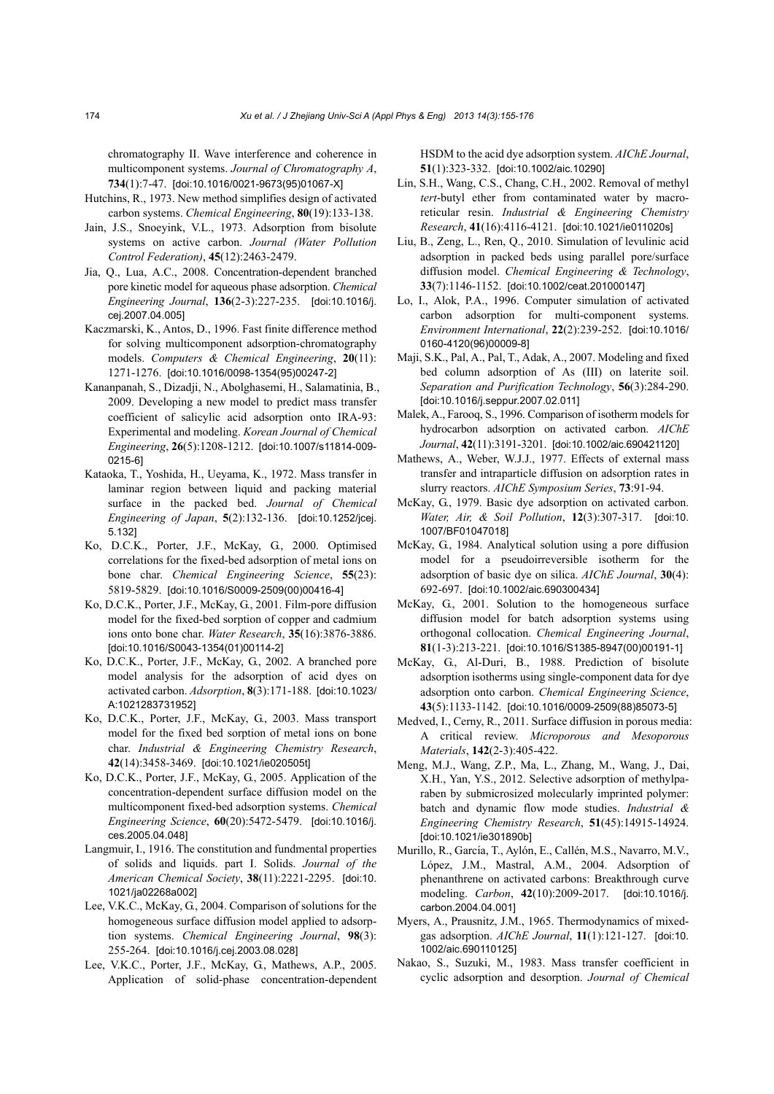chromatography II. Wave interference and coherence in multicomponent systems. *Journal of Chromatography A*, **734**(1):7-47. [doi:10.1016/0021-9673(95)01067-X]

- Hutchins, R., 1973. New method simplifies design of activated carbon systems. *Chemical Engineering*, **80**(19):133-138.
- Jain, J.S., Snoeyink, V.L., 1973. Adsorption from bisolute systems on active carbon. *Journal (Water Pollution Control Federation)*, **45**(12):2463-2479.
- Jia, Q., Lua, A.C., 2008. Concentration-dependent branched pore kinetic model for aqueous phase adsorption. *Chemical Engineering Journal*, **136**(2-3):227-235. [doi:10.1016/j. cej.2007.04.005]
- Kaczmarski, K., Antos, D., 1996. Fast finite difference method for solving multicomponent adsorption-chromatography models. *Computers & Chemical Engineering*, **20**(11): 1271-1276. [doi:10.1016/0098-1354(95)00247-2]
- Kananpanah, S., Dizadji, N., Abolghasemi, H., Salamatinia, B., 2009. Developing a new model to predict mass transfer coefficient of salicylic acid adsorption onto IRA-93: Experimental and modeling. *Korean Journal of Chemical Engineering*, **26**(5):1208-1212. [doi:10.1007/s11814-009- 0215-6]
- Kataoka, T., Yoshida, H., Ueyama, K., 1972. Mass transfer in laminar region between liquid and packing material surface in the packed bed. *Journal of Chemical Engineering of Japan*, **5**(2):132-136. [doi:10.1252/jcej. 5.132]
- Ko, D.C.K., Porter, J.F., McKay, G., 2000. Optimised correlations for the fixed-bed adsorption of metal ions on bone char. *Chemical Engineering Science*, **55**(23): 5819-5829. [doi:10.1016/S0009-2509(00)00416-4]
- Ko, D.C.K., Porter, J.F., McKay, G., 2001. Film-pore diffusion model for the fixed-bed sorption of copper and cadmium ions onto bone char. *Water Research*, **35**(16):3876-3886. [doi:10.1016/S0043-1354(01)00114-2]
- Ko, D.C.K., Porter, J.F., McKay, G., 2002. A branched pore model analysis for the adsorption of acid dyes on activated carbon. *Adsorption*, **8**(3):171-188. [doi:10.1023/ A:1021283731952]
- Ko, D.C.K., Porter, J.F., McKay, G., 2003. Mass transport model for the fixed bed sorption of metal ions on bone char. *Industrial & Engineering Chemistry Research*, **42**(14):3458-3469. [doi:10.1021/ie020505t]
- Ko, D.C.K., Porter, J.F., McKay, G., 2005. Application of the concentration-dependent surface diffusion model on the multicomponent fixed-bed adsorption systems. *Chemical Engineering Science*, **60**(20):5472-5479. [doi:10.1016/j. ces.2005.04.048]
- Langmuir, I., 1916. The constitution and fundmental properties of solids and liquids. part I. Solids. *Journal of the American Chemical Society*, **38**(11):2221-2295. [doi:10. 1021/ja02268a002]
- Lee, V.K.C., McKay, G., 2004. Comparison of solutions for the homogeneous surface diffusion model applied to adsorption systems. *Chemical Engineering Journal*, **98**(3): 255-264. [doi:10.1016/j.cej.2003.08.028]
- Lee, V.K.C., Porter, J.F., McKay, G., Mathews, A.P., 2005. Application of solid-phase concentration-dependent

HSDM to the acid dye adsorption system. *AIChE Journal*, **51**(1):323-332. [doi:10.1002/aic.10290]

- Lin, S.H., Wang, C.S., Chang, C.H., 2002. Removal of methyl *tert*-butyl ether from contaminated water by macroreticular resin. *Industrial & Engineering Chemistry Research*, **41**(16):4116-4121. [doi:10.1021/ie011020s]
- Liu, B., Zeng, L., Ren, Q., 2010. Simulation of levulinic acid adsorption in packed beds using parallel pore/surface diffusion model. *Chemical Engineering & Technology*, **33**(7):1146-1152. [doi:10.1002/ceat.201000147]
- Lo, I., Alok, P.A., 1996. Computer simulation of activated carbon adsorption for multi-component systems. *Environment International*, **22**(2):239-252. [doi:10.1016/ 0160-4120(96)00009-8]
- Maji, S.K., Pal, A., Pal, T., Adak, A., 2007. Modeling and fixed bed column adsorption of As (III) on laterite soil. *Separation and Purification Technology*, **56**(3):284-290. [doi:10.1016/j.seppur.2007.02.011]
- Malek, A., Farooq, S., 1996. Comparison of isotherm models for hydrocarbon adsorption on activated carbon. *AIChE Journal*, **42**(11):3191-3201. [doi:10.1002/aic.690421120]
- Mathews, A., Weber, W.J.J., 1977. Effects of external mass transfer and intraparticle diffusion on adsorption rates in slurry reactors. *AIChE Symposium Series*, **73**:91-94.
- McKay, G., 1979. Basic dye adsorption on activated carbon. *Water, Air, & Soil Pollution*, **12**(3):307-317. [doi:10. 1007/BF01047018]
- McKay, G., 1984. Analytical solution using a pore diffusion model for a pseudoirreversible isotherm for the adsorption of basic dye on silica. *AIChE Journal*, **30**(4): 692-697. [doi:10.1002/aic.690300434]
- McKay, G., 2001. Solution to the homogeneous surface diffusion model for batch adsorption systems using orthogonal collocation. *Chemical Engineering Journal*, **81**(1-3):213-221. [doi:10.1016/S1385-8947(00)00191-1]
- McKay, G., Al-Duri, B., 1988. Prediction of bisolute adsorption isotherms using single-component data for dye adsorption onto carbon. *Chemical Engineering Science*, **43**(5):1133-1142. [doi:10.1016/0009-2509(88)85073-5]
- Medved, I., Cerny, R., 2011. Surface diffusion in porous media: A critical review. *Microporous and Mesoporous Materials*, **142**(2-3):405-422.
- Meng, M.J., Wang, Z.P., Ma, L., Zhang, M., Wang, J., Dai, X.H., Yan, Y.S., 2012. Selective adsorption of methylparaben by submicrosized molecularly imprinted polymer: batch and dynamic flow mode studies. *Industrial & Engineering Chemistry Research*, **51**(45):14915-14924. [doi:10.1021/ie301890b]
- Murillo, R., García, T., Aylón, E., Callén, M.S., Navarro, M.V., López, J.M., Mastral, A.M., 2004. Adsorption of phenanthrene on activated carbons: Breakthrough curve modeling. *Carbon*, **42**(10):2009-2017. [doi:10.1016/j. carbon.2004.04.001]
- Myers, A., Prausnitz, J.M., 1965. Thermodynamics of mixedgas adsorption. *AIChE Journal*, **11**(1):121-127. [doi:10. 1002/aic.690110125]
- Nakao, S., Suzuki, M., 1983. Mass transfer coefficient in cyclic adsorption and desorption. *Journal of Chemical*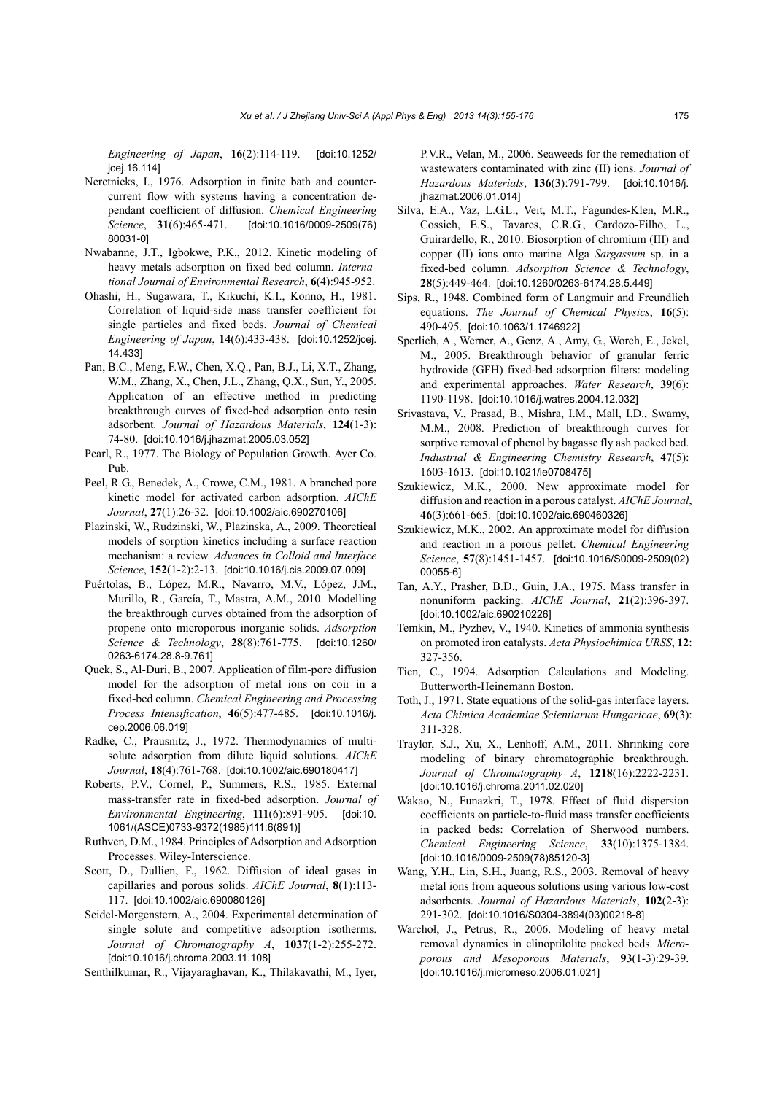*Engineering of Japan*, **16**(2):114-119. [doi:10.1252/ jcej.16.114]

- Neretnieks, I., 1976. Adsorption in finite bath and countercurrent flow with systems having a concentration dependant coefficient of diffusion. *Chemical Engineering Science*, **31**(6):465-471. [doi:10.1016/0009-2509(76) 80031-0]
- Nwabanne, J.T., Igbokwe, P.K., 2012. Kinetic modeling of heavy metals adsorption on fixed bed column. *International Journal of Environmental Research*, **6**(4):945-952.
- Ohashi, H., Sugawara, T., Kikuchi, K.I., Konno, H., 1981. Correlation of liquid-side mass transfer coefficient for single particles and fixed beds. *Journal of Chemical Engineering of Japan*, **14**(6):433-438. [doi:10.1252/jcej. 14.433]
- Pan, B.C., Meng, F.W., Chen, X.Q., Pan, B.J., Li, X.T., Zhang, W.M., Zhang, X., Chen, J.L., Zhang, Q.X., Sun, Y., 2005. Application of an effective method in predicting breakthrough curves of fixed-bed adsorption onto resin adsorbent. *Journal of Hazardous Materials*, **124**(1-3): 74-80. [doi:10.1016/j.jhazmat.2005.03.052]
- Pearl, R., 1977. The Biology of Population Growth. Ayer Co. Pub.
- Peel, R.G., Benedek, A., Crowe, C.M., 1981. A branched pore kinetic model for activated carbon adsorption. *AIChE Journal*, **27**(1):26-32. [doi:10.1002/aic.690270106]
- Plazinski, W., Rudzinski, W., Plazinska, A., 2009. Theoretical models of sorption kinetics including a surface reaction mechanism: a review. *Advances in Colloid and Interface Science*, **152**(1-2):2-13. [doi:10.1016/j.cis.2009.07.009]
- Puértolas, B., López, M.R., Navarro, M.V., López, J.M., Murillo, R., García, T., Mastra, A.M., 2010. Modelling the breakthrough curves obtained from the adsorption of propene onto microporous inorganic solids. *Adsorption Science & Technology*, **28**(8):761-775. [doi:10.1260/ 0263-6174.28.8-9.761]
- Quek, S., Al-Duri, B., 2007. Application of film-pore diffusion model for the adsorption of metal ions on coir in a fixed-bed column. *Chemical Engineering and Processing Process Intensification*, **46**(5):477-485. [doi:10.1016/j. cep.2006.06.019]
- Radke, C., Prausnitz, J., 1972. Thermodynamics of multisolute adsorption from dilute liquid solutions. *AIChE Journal*, **18**(4):761-768. [doi:10.1002/aic.690180417]
- Roberts, P.V., Cornel, P., Summers, R.S., 1985. External mass-transfer rate in fixed-bed adsorption. *Journal of Environmental Engineering*, **111**(6):891-905. [doi:10. 1061/(ASCE)0733-9372(1985)111:6(891)]
- Ruthven, D.M., 1984. Principles of Adsorption and Adsorption Processes. Wiley-Interscience.
- Scott, D., Dullien, F., 1962. Diffusion of ideal gases in capillaries and porous solids. *AIChE Journal*, **8**(1):113- 117. [doi:10.1002/aic.690080126]
- Seidel-Morgenstern, A., 2004. Experimental determination of single solute and competitive adsorption isotherms. *Journal of Chromatography A*, **1037**(1-2):255-272. [doi:10.1016/j.chroma.2003.11.108]
- Senthilkumar, R., Vijayaraghavan, K., Thilakavathi, M., Iyer,

P.V.R., Velan, M., 2006. Seaweeds for the remediation of wastewaters contaminated with zinc (II) ions. *Journal of Hazardous Materials*, **136**(3):791-799. [doi:10.1016/j. jhazmat.2006.01.014]

- Silva, E.A., Vaz, L.G.L., Veit, M.T., Fagundes-Klen, M.R., Cossich, E.S., Tavares, C.R.G., Cardozo-Filho, L., Guirardello, R., 2010. Biosorption of chromium (III) and copper (II) ions onto marine Alga *Sargassum* sp. in a fixed-bed column. *Adsorption Science & Technology*, **28**(5):449-464. [doi:10.1260/0263-6174.28.5.449]
- Sips, R., 1948. Combined form of Langmuir and Freundlich equations. *The Journal of Chemical Physics*, **16**(5): 490-495. [doi:10.1063/1.1746922]
- Sperlich, A., Werner, A., Genz, A., Amy, G., Worch, E., Jekel, M., 2005. Breakthrough behavior of granular ferric hydroxide (GFH) fixed-bed adsorption filters: modeling and experimental approaches. *Water Research*, **39**(6): 1190-1198. [doi:10.1016/j.watres.2004.12.032]
- Srivastava, V., Prasad, B., Mishra, I.M., Mall, I.D., Swamy, M.M., 2008. Prediction of breakthrough curves for sorptive removal of phenol by bagasse fly ash packed bed. *Industrial & Engineering Chemistry Research*, **47**(5): 1603-1613. [doi:10.1021/ie0708475]
- Szukiewicz, M.K., 2000. New approximate model for diffusion and reaction in a porous catalyst. *AIChE Journal*, **46**(3):661-665. [doi:10.1002/aic.690460326]
- Szukiewicz, M.K., 2002. An approximate model for diffusion and reaction in a porous pellet. *Chemical Engineering Science*, **57**(8):1451-1457. [doi:10.1016/S0009-2509(02) 00055-6]
- Tan, A.Y., Prasher, B.D., Guin, J.A., 1975. Mass transfer in nonuniform packing. *AIChE Journal*, **21**(2):396-397. [doi:10.1002/aic.690210226]
- Temkin, M., Pyzhev, V., 1940. Kinetics of ammonia synthesis on promoted iron catalysts. *Acta Physiochimica URSS*, **12**: 327-356.
- Tien, C., 1994. Adsorption Calculations and Modeling. Butterworth-Heinemann Boston.
- Toth, J., 1971. State equations of the solid-gas interface layers. *Acta Chimica Academiae Scientiarum Hungaricae*, **69**(3): 311-328.
- Traylor, S.J., Xu, X., Lenhoff, A.M., 2011. Shrinking core modeling of binary chromatographic breakthrough. *Journal of Chromatography A*, **1218**(16):2222-2231. [doi:10.1016/j.chroma.2011.02.020]
- Wakao, N., Funazkri, T., 1978. Effect of fluid dispersion coefficients on particle-to-fluid mass transfer coefficients in packed beds: Correlation of Sherwood numbers. *Chemical Engineering Science*, **33**(10):1375-1384. [doi:10.1016/0009-2509(78)85120-3]
- Wang, Y.H., Lin, S.H., Juang, R.S., 2003. Removal of heavy metal ions from aqueous solutions using various low-cost adsorbents. *Journal of Hazardous Materials*, **102**(2-3): 291-302. [doi:10.1016/S0304-3894(03)00218-8]
- Warchoł, J., Petrus, R., 2006. Modeling of heavy metal removal dynamics in clinoptilolite packed beds. *Microporous and Mesoporous Materials*, **93**(1-3):29-39. [doi:10.1016/j.micromeso.2006.01.021]